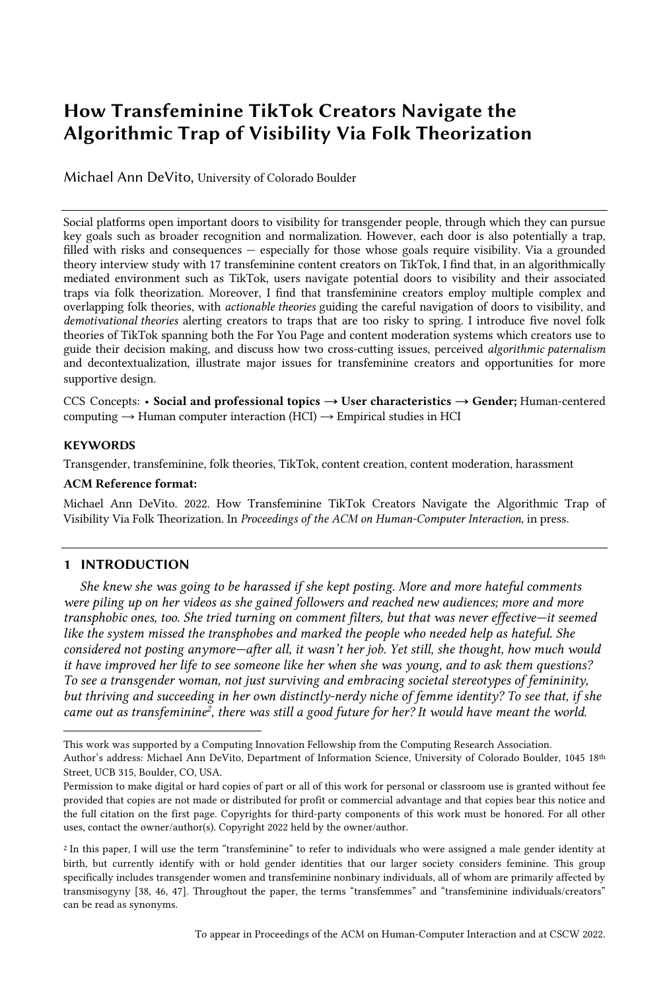# How Transfeminine TikTok Creators Navigate the Algorithmic Trap of Visibility Via Folk Theorization

Michael Ann DeVito, University of Colorado Boulder

 Social platforms open important doors to visibility for transgender people, through which they can pursue key goals such as broader recognition and normalization. However, each door is also potentially a trap, filled with risks and consequences — especially for those whose goals require visibility. Via a grounded theory interview study with 17 transfeminine content creators on TikTok, I find that, in an algorithmically mediated environment such as TikTok, users navigate potential doors to visibility and their associated traps via folk theorization. Moreover, I find that transfeminine creators employ multiple complex and overlapping folk theories, with *actionable theories* guiding the careful navigation of doors to visibility, and *demotivational theories* alerting creators to traps that are too risky to spring. I introduce five novel folk theories of TikTok spanning both the For You Page and content moderation systems which creators use to guide their decision making, and discuss how two cross-cuting issues, perceived *algorithmic paternalism*  and decontextualization, illustrate major issues for transfeminine creators and opportunities for more supportive design.

CCS Concepts: • Social and professional topics  $\rightarrow$  User characteristics  $\rightarrow$  Gender; Human-centered computing  $\rightarrow$  Human computer interaction (HCI)  $\rightarrow$  Empirical studies in HCI

## **KEYWORDS**

Transgender, transfeminine, folk theories, TikTok, content creation, content moderation, harassment

## ACM Reference format:

 Michael Ann DeVito. 2022. How Transfeminine TikTok Creators Navigate the Algorithmic Trap of Visibility Via Folk Theorization. In *Proceedings of the ACM on Human-Computer Interaction*, in press.

# 1 INTRODUCTION

 *She knew she was going to be harassed if she kept posting. More and more hateful comments*  were piling up on her videos as she gained followers and reached new audiences; more and more  *transphobic ones, too. She tried turning on comment filters, but that was never effective—it seemed like the system missed the transphobes and marked the people who needed help as hateful. She considered not posting anymore—after all, it wasn't her job. Yet still, she thought, how much would To see a transgender woman, not just surviving and embracing societal stereotypes of femininity, but thriving and succeeding in her own distinctly-nerdy niche of femme identity? To see that, if she*  came out as transfeminine<sup>2</sup>, there was still a good future for her? It would have meant the world. *it have improved her life to see someone like her when she was young, and to ask them questions?* 

 This work was supported by a Computing Innovation Fellowship from the Computing Research Association. Author's address: Michael Ann DeVito, Department of Information Science, University of Colorado Boulder, 1045 18th Street, UCB 315, Boulder, CO, USA.

 Permission to make digital or hard copies of part or all of this work for personal or classroom use is granted without fee provided that copies are not made or distributed for profit or commercial advantage and that copies bear this notice and the full citation on the first page. Copyrights for third-party components of this work must be honored. For all other uses, contact the owner/author(s). Copyright 2022 held by the owner/author.

<sup>2</sup> In this paper, I will use the term "transfeminine" to refer to individuals who were assigned a male gender identity at birth, but currently identify with or hold gender identities that our larger society considers feminine. This group specifically includes transgender women and transfeminine nonbinary individuals, all of whom are primarily affected by transmisogyny [38, 46, 47]. Throughout the paper, the terms "transfemmes" and "transfeminine individuals/creators" can be read as synonyms.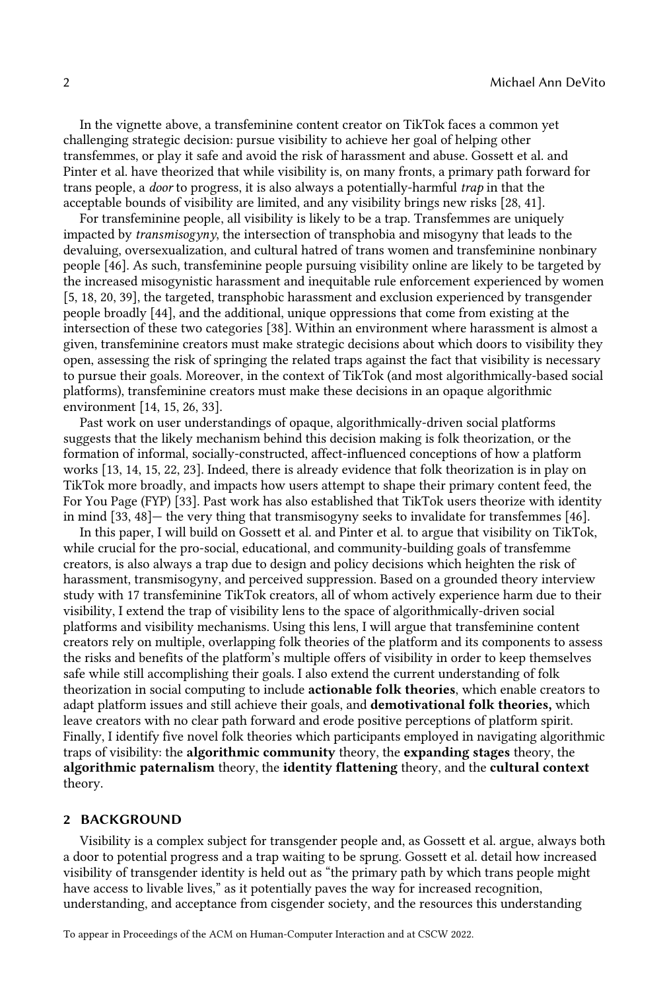In the vignette above, a transfeminine content creator on TikTok faces a common yet transfemmes, or play it safe and avoid the risk of harassment and abuse. Gossett et al. and Pinter et al. have theorized that while visibility is, on many fronts, a primary path forward for trans people, a *door* to progress, it is also always a potentially-harmful *trap* in that the acceptable bounds of visibility are limited, and any visibility brings new risks [28, 41]. challenging strategic decision: pursue visibility to achieve her goal of helping other

 devaluing, oversexualization, and cultural hatred of trans women and transfeminine nonbinary people [46]. As such, transfeminine people pursuing visibility online are likely to be targeted by the increased misogynistic harassment and inequitable rule enforcement experienced by women [5, 18, 20, 39], the targeted, transphobic harassment and exclusion experienced by transgender intersection of these two categories [38]. Within an environment where harassment is almost a given, transfeminine creators must make strategic decisions about which doors to visibility they open, assessing the risk of springing the related traps against the fact that visibility is necessary to pursue their goals. Moreover, in the context of TikTok (and most algorithmically-based social environment [14, 15, 26, 33]. For transfeminine people, all visibility is likely to be a trap. Transfemmes are uniquely impacted by *transmisogyny*, the intersection of transphobia and misogyny that leads to the people broadly [44], and the additional, unique oppressions that come from existing at the platforms), transfeminine creators must make these decisions in an opaque algorithmic

 Past work on user understandings of opaque, algorithmically-driven social platforms suggests that the likely mechanism behind this decision making is folk theorization, or the formation of informal, socially-constructed, affect-influenced conceptions of how a platform works [13, 14, 15, 22, 23]. Indeed, there is already evidence that folk theorization is in play on TikTok more broadly, and impacts how users attempt to shape their primary content feed, the in mind [33, 48]— the very thing that transmisogyny seeks to invalidate for transfemmes [46]. For You Page (FYP) [33]. Past work has also established that TikTok users theorize with identity

 In this paper, I will build on Gossett et al. and Pinter et al. to argue that visibility on TikTok, while crucial for the pro-social, educational, and community-building goals of transfemme creators, is also always a trap due to design and policy decisions which heighten the risk of harassment, transmisogyny, and perceived suppression. Based on a grounded theory interview study with 17 transfeminine TikTok creators, all of whom actively experience harm due to their visibility, I extend the trap of visibility lens to the space of algorithmically-driven social platforms and visibility mechanisms. Using this lens, I will argue that transfeminine content creators rely on multiple, overlapping folk theories of the platform and its components to assess the risks and benefits of the platform's multiple offers of visibility in order to keep themselves safe while still accomplishing their goals. I also extend the current understanding of folk theorization in social computing to include actionable folk theories, which enable creators to adapt platform issues and still achieve their goals, and demotivational folk theories, which leave creators with no clear path forward and erode positive perceptions of platform spirit. traps of visibility: the algorithmic community theory, the expanding stages theory, the algorithmic paternalism theory, the identity flattening theory, and the cultural context Finally, I identify five novel folk theories which participants employed in navigating algorithmic theory.

## 2 BACKGROUND

 Visibility is a complex subject for transgender people and, as Gossett et al. argue, always both a door to potential progress and a trap waiting to be sprung. Gossett et al. detail how increased visibility of transgender identity is held out as "the primary path by which trans people might have access to livable lives," as it potentially paves the way for increased recognition, understanding, and acceptance from cisgender society, and the resources this understanding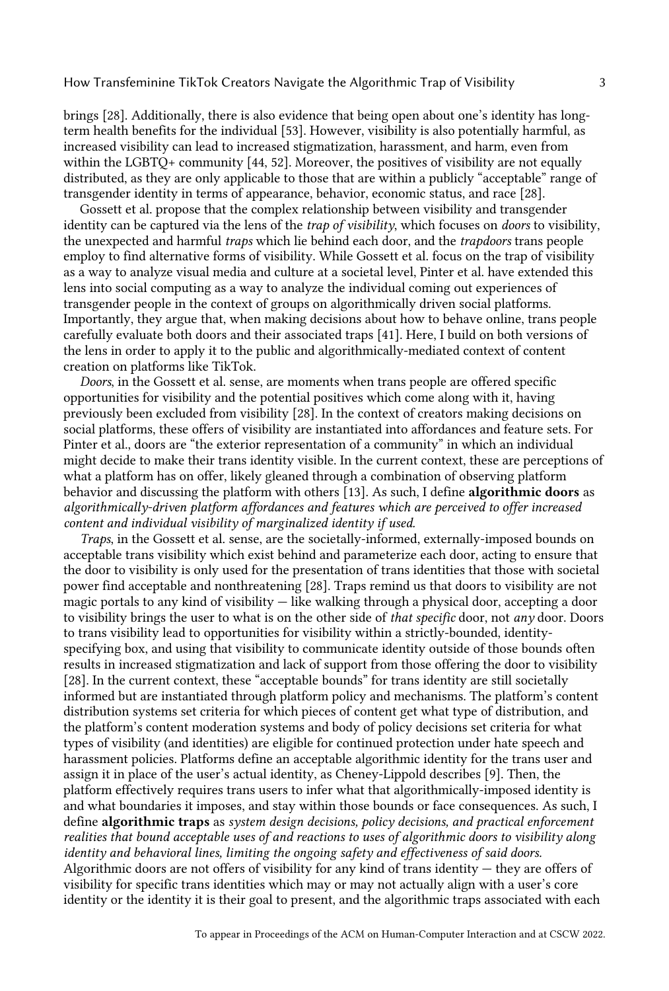brings [28]. Additionally, there is also evidence that being open about one's identity has long- term health benefits for the individual [53]. However, visibility is also potentially harmful, as increased visibility can lead to increased stigmatization, harassment, and harm, even from within the LGBTQ+ community [44, 52]. Moreover, the positives of visibility are not equally distributed, as they are only applicable to those that are within a publicly "acceptable" range of transgender identity in terms of appearance, behavior, economic status, and race [28].

 Gossett et al. propose that the complex relationship between visibility and transgender identity can be captured via the lens of the *trap of visibility*, which focuses on *doors* to visibility, the unexpected and harmful *traps* which lie behind each door, and the *trapdoors* trans people as a way to analyze visual media and culture at a societal level, Pinter et al. have extended this transgender people in the context of groups on algorithmically driven social platforms. Importantly, they argue that, when making decisions about how to behave online, trans people carefully evaluate both doors and their associated traps [41]. Here, I build on both versions of the lens in order to apply it to the public and algorithmically-mediated context of content creation on platforms like TikTok. employ to find alternative forms of visibility. While Gossett et al. focus on the trap of visibility lens into social computing as a way to analyze the individual coming out experiences of

 *Doors*, in the Gossett et al. sense, are moments when trans people are offered specific opportunities for visibility and the potential positives which come along with it, having previously been excluded from visibility [28]. In the context of creators making decisions on social platforms, these offers of visibility are instantiated into affordances and feature sets. For Pinter et al., doors are "the exterior representation of a community" in which an individual might decide to make their trans identity visible. In the current context, these are perceptions of what a platform has on offer, likely gleaned through a combination of observing platform behavior and discussing the platform with others [13]. As such, I define **algorithmic doors** as  *algorithmically-driven platform affordances and features which are perceived to offer increased content and individual visibility of marginalized identity if used.* 

 acceptable trans visibility which exist behind and parameterize each door, acting to ensure that the door to visibility is only used for the presentation of trans identities that those with societal magic portals to any kind of visibility — like walking through a physical door, accepting a door to visibility brings the user to what is on the other side of *that specific* door, not *any* door. Doors to trans visibility lead to opportunities for visibility within a strictly-bounded, identity- specifying box, and using that visibility to communicate identity outside of those bounds often results in increased stigmatization and lack of support from those offering the door to visibility [28]. In the current context, these "acceptable bounds" for trans identity are still societally informed but are instantiated through platform policy and mechanisms. The platform's content distribution systems set criteria for which pieces of content get what type of distribution, and the platform's content moderation systems and body of policy decisions set criteria for what types of visibility (and identities) are eligible for continued protection under hate speech and harassment policies. Platforms define an acceptable algorithmic identity for the trans user and assign it in place of the user's actual identity, as Cheney-Lippold describes [9]. Then, the platform effectively requires trans users to infer what that algorithmically-imposed identity is and what boundaries it imposes, and stay within those bounds or face consequences. As such, I define algorithmic traps as *system design decisions, policy decisions, and practical enforcement realities that bound acceptable uses of and reactions to uses of algorithmic doors to visibility along identity and behavioral lines, limiting the ongoing safety and effectiveness of said doors.*  Algorithmic doors are not offers of visibility for any kind of trans identity — they are offers of visibility for specific trans identities which may or may not actually align with a user's core *Traps*, in the Gossett et al. sense, are the societally-informed, externally-imposed bounds on power find acceptable and nonthreatening [28]. Traps remind us that doors to visibility are not identity or the identity it is their goal to present, and the algorithmic traps associated with each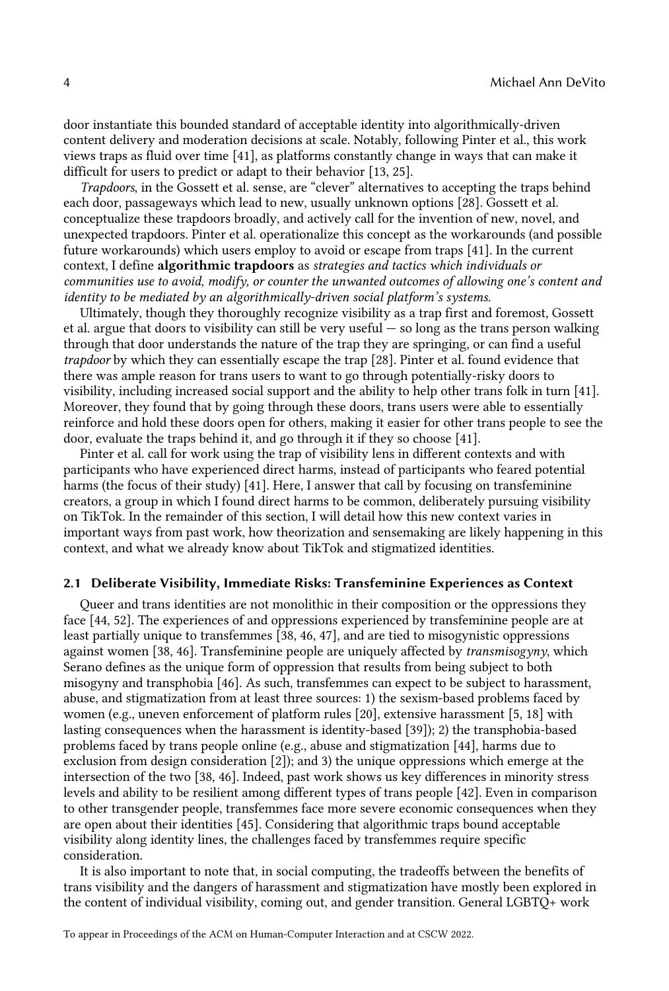content delivery and moderation decisions at scale. Notably, following Pinter et al., this work views traps as fluid over time [41], as platforms constantly change in ways that can make it difficult for users to predict or adapt to their behavior [13, 25]. door instantiate this bounded standard of acceptable identity into algorithmically-driven

 *Trapdoors*, in the Gossett et al. sense, are "clever" alternatives to accepting the traps behind each door, passageways which lead to new, usually unknown options [28]. Gossett et al. conceptualize these trapdoors broadly, and actively call for the invention of new, novel, and unexpected trapdoors. Pinter et al. operationalize this concept as the workarounds (and possible future workarounds) which users employ to avoid or escape from traps [41]. In the current  *communities use to avoid, modify, or counter the unwanted outcomes of allowing one's content and identity to be mediated by an algorithmically-driven social platform's systems.*  context, I define algorithmic trapdoors as *strategies and tactics which individuals or* 

 Ultimately, though they thoroughly recognize visibility as a trap first and foremost, Gossett et al. argue that doors to visibility can still be very useful — so long as the trans person walking through that door understands the nature of the trap they are springing, or can find a useful *trapdoor* by which they can essentially escape the trap [28]. Pinter et al. found evidence that there was ample reason for trans users to want to go through potentially-risky doors to visibility, including increased social support and the ability to help other trans folk in turn [41]. Moreover, they found that by going through these doors, trans users were able to essentially reinforce and hold these doors open for others, making it easier for other trans people to see the door, evaluate the traps behind it, and go through it if they so choose [41].

 Pinter et al. call for work using the trap of visibility lens in different contexts and with participants who have experienced direct harms, instead of participants who feared potential harms (the focus of their study) [41]. Here, I answer that call by focusing on transfeminine creators, a group in which I found direct harms to be common, deliberately pursuing visibility on TikTok. In the remainder of this section, I will detail how this new context varies in context, and what we already know about TikTok and stigmatized identities. important ways from past work, how theorization and sensemaking are likely happening in this

#### 2.1 Deliberate Visibility, Immediate Risks: Transfeminine Experiences as Context

 Queer and trans identities are not monolithic in their composition or the oppressions they face [44, 52]. The experiences of and oppressions experienced by transfeminine people are at least partially unique to transfemmes [38, 46, 47], and are tied to misogynistic oppressions Serano defines as the unique form of oppression that results from being subject to both misogyny and transphobia [46]. As such, transfemmes can expect to be subject to harassment, women (e.g., uneven enforcement of platform rules [20], extensive harassment [5, 18] with problems faced by trans people online (e.g., abuse and stigmatization [44], harms due to exclusion from design consideration [2]); and 3) the unique oppressions which emerge at the intersection of the two [38, 46]. Indeed, past work shows us key differences in minority stress levels and ability to be resilient among different types of trans people [42]. Even in comparison to other transgender people, transfemmes face more severe economic consequences when they are open about their identities [45]. Considering that algorithmic traps bound acceptable visibility along identity lines, the challenges faced by transfemmes require specific against women [38, 46]. Transfeminine people are uniquely affected by *transmisogyny*, which abuse, and stigmatization from at least three sources: 1) the sexism-based problems faced by lasting consequences when the harassment is identity-based [39]); 2) the transphobia-based consideration.

 It is also important to note that, in social computing, the tradeoffs between the benefits of trans visibility and the dangers of harassment and stigmatization have mostly been explored in the content of individual visibility, coming out, and gender transition. General LGBTQ+ work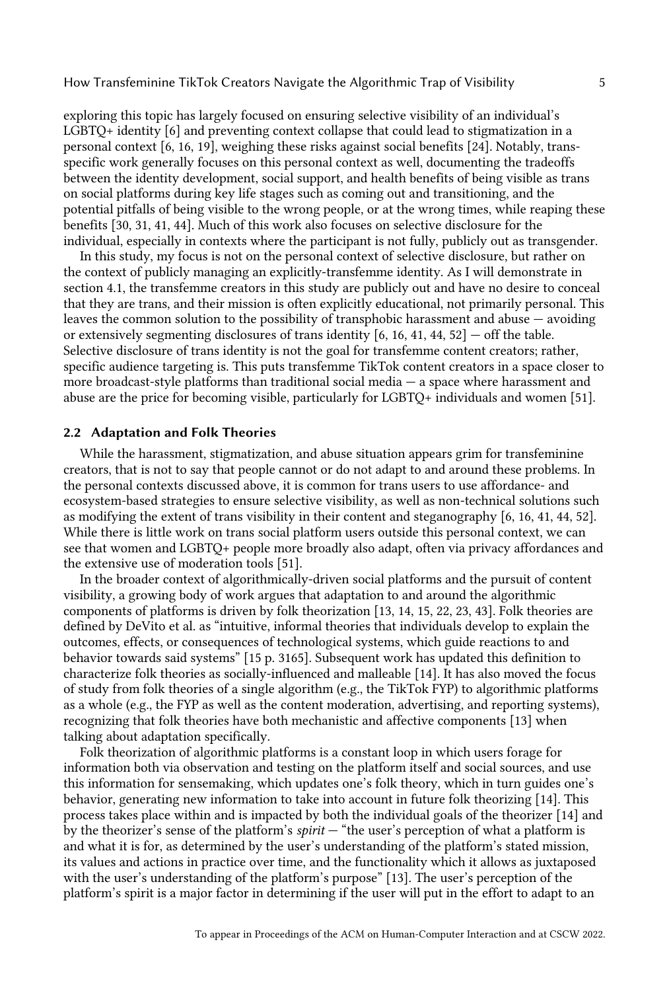How Transfeminine TikTok Creators Navigate the Algorithmic Trap of Visibility 5

 exploring this topic has largely focused on ensuring selective visibility of an individual's personal context [6, 16, 19], weighing these risks against social benefits [24]. Notably, trans- specific work generally focuses on this personal context as well, documenting the tradeoffs between the identity development, social support, and health benefits of being visible as trans on social platforms during key life stages such as coming out and transitioning, and the potential pitfalls of being visible to the wrong people, or at the wrong times, while reaping these benefits [30, 31, 41, 44]. Much of this work also focuses on selective disclosure for the individual, especially in contexts where the participant is not fully, publicly out as transgender. LGBTQ+ identity [6] and preventing context collapse that could lead to stigmatization in a

 In this study, my focus is not on the personal context of selective disclosure, but rather on the context of publicly managing an explicitly-transfemme identity. As I will demonstrate in section 4.1, the transfemme creators in this study are publicly out and have no desire to conceal that they are trans, and their mission is often explicitly educational, not primarily personal. This leaves the common solution to the possibility of transphobic harassment and abuse — avoiding or extensively segmenting disclosures of trans identity [6, 16, 41, 44, 52] — off the table. Selective disclosure of trans identity is not the goal for transfemme content creators; rather, specific audience targeting is. This puts transfemme TikTok content creators in a space closer to more broadcast-style platforms than traditional social media — a space where harassment and abuse are the price for becoming visible, particularly for LGBTQ+ individuals and women [51].

## 2.2 Adaptation and Folk Theories

 While the harassment, stigmatization, and abuse situation appears grim for transfeminine creators, that is not to say that people cannot or do not adapt to and around these problems. In the personal contexts discussed above, it is common for trans users to use affordance- and ecosystem-based strategies to ensure selective visibility, as well as non-technical solutions such as modifying the extent of trans visibility in their content and steganography [6, 16, 41, 44, 52]. While there is little work on trans social platform users outside this personal context, we can see that women and LGBTQ+ people more broadly also adapt, often via privacy affordances and the extensive use of moderation tools [51].

 In the broader context of algorithmically-driven social platforms and the pursuit of content visibility, a growing body of work argues that adaptation to and around the algorithmic components of platforms is driven by folk theorization [13, 14, 15, 22, 23, 43]. Folk theories are defined by DeVito et al. as "intuitive, informal theories that individuals develop to explain the outcomes, effects, or consequences of technological systems, which guide reactions to and behavior towards said systems" [15 p. 3165]. Subsequent work has updated this definition to characterize folk theories as socially-influenced and malleable [14]. It has also moved the focus of study from folk theories of a single algorithm (e.g., the TikTok FYP) to algorithmic platforms as a whole (e.g., the FYP as well as the content moderation, advertising, and reporting systems), recognizing that folk theories have both mechanistic and affective components [13] when talking about adaptation specifically.

 Folk theorization of algorithmic platforms is a constant loop in which users forage for this information for sensemaking, which updates one's folk theory, which in turn guides one's process takes place within and is impacted by both the individual goals of the theorizer [14] and by the theorizer's sense of the platform's *spirit* — "the user's perception of what a platform is and what it is for, as determined by the user's understanding of the platform's stated mission, with the user's understanding of the platform's purpose" [13]. The user's perception of the platform's spirit is a major factor in determining if the user will put in the effort to adapt to an information both via observation and testing on the platform itself and social sources, and use behavior, generating new information to take into account in future folk theorizing [14]. This its values and actions in practice over time, and the functionality which it allows as juxtaposed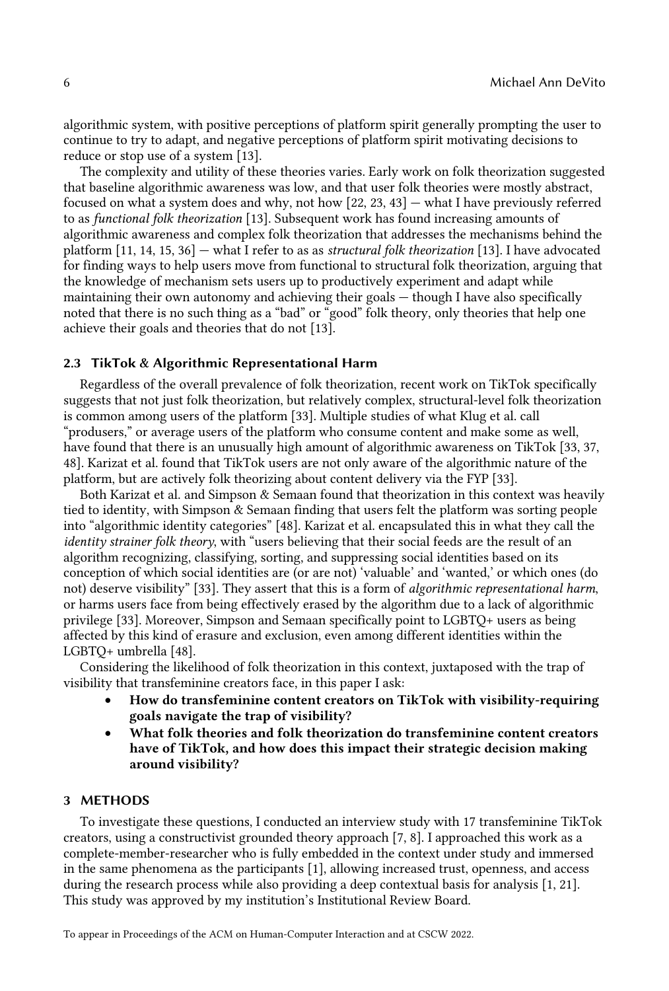algorithmic system, with positive perceptions of platform spirit generally prompting the user to continue to try to adapt, and negative perceptions of platform spirit motivating decisions to reduce or stop use of a system [13].

 The complexity and utility of these theories varies. Early work on folk theorization suggested that baseline algorithmic awareness was low, and that user folk theories were mostly abstract, focused on what a system does and why, not how [22, 23, 43] — what I have previously referred algorithmic awareness and complex folk theorization that addresses the mechanisms behind the platform [11, 14, 15, 36] — what I refer to as as *structural folk theorization* [13]. I have advocated for finding ways to help users move from functional to structural folk theorization, arguing that the knowledge of mechanism sets users up to productively experiment and adapt while maintaining their own autonomy and achieving their goals — though I have also specifically noted that there is no such thing as a "bad" or "good" folk theory, only theories that help one achieve their goals and theories that do not [13]. to as *functional folk theorization* [13]. Subsequent work has found increasing amounts of

## 2.3 TikTok & Algorithmic Representational Harm

 Regardless of the overall prevalence of folk theorization, recent work on TikTok specifically suggests that not just folk theorization, but relatively complex, structural-level folk theorization is common among users of the platform [33]. Multiple studies of what Klug et al. call "produsers," or average users of the platform who consume content and make some as well, have found that there is an unusually high amount of algorithmic awareness on TikTok [33, 37, 48]. Karizat et al. found that TikTok users are not only aware of the algorithmic nature of the platform, but are actively folk theorizing about content delivery via the FYP [33].

 Both Karizat et al. and Simpson & Semaan found that theorization in this context was heavily tied to identity, with Simpson & Semaan finding that users felt the platform was sorting people *identity strainer folk theory*, with "users believing that their social feeds are the result of an algorithm recognizing, classifying, sorting, and suppressing social identities based on its conception of which social identities are (or are not) 'valuable' and 'wanted,' or which ones (do not) deserve visibility" [33]. They assert that this is a form of *algorithmic representational harm*, or harms users face from being effectively erased by the algorithm due to a lack of algorithmic privilege [33]. Moreover, Simpson and Semaan specifically point to LGBTQ+ users as being affected by this kind of erasure and exclusion, even among different identities within the into "algorithmic identity categories" [48]. Karizat et al. encapsulated this in what they call the LGBTQ+ umbrella [48].

 Considering the likelihood of folk theorization in this context, juxtaposed with the trap of visibility that transfeminine creators face, in this paper I ask:

- • How do transfeminine content creators on TikTok with visibility-requiring goals navigate the trap of visibility?
- • What folk theories and folk theorization do transfeminine content creators have of TikTok, and how does this impact their strategic decision making around visibility?

## 3 METHODS

 To investigate these questions, I conducted an interview study with 17 transfeminine TikTok creators, using a constructivist grounded theory approach [7, 8]. I approached this work as a complete-member-researcher who is fully embedded in the context under study and immersed during the research process while also providing a deep contextual basis for analysis [1, 21]. This study was approved by my institution's Institutional Review Board. in the same phenomena as the participants [1], allowing increased trust, openness, and access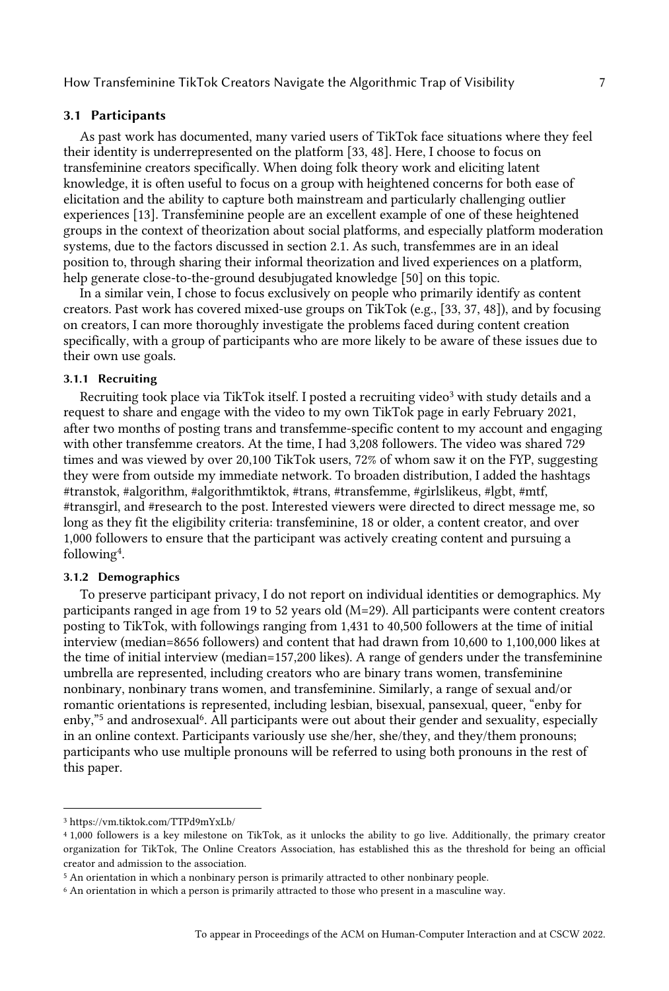How Transfeminine TikTok Creators Navigate the Algorithmic Trap of Visibility 7

#### 3.1 Participants

 As past work has documented, many varied users of TikTok face situations where they feel their identity is underrepresented on the platform [33, 48]. Here, I choose to focus on transfeminine creators specifically. When doing folk theory work and eliciting latent knowledge, it is often useful to focus on a group with heightened concerns for both ease of elicitation and the ability to capture both mainstream and particularly challenging outlier experiences [13]. Transfeminine people are an excellent example of one of these heightened groups in the context of theorization about social platforms, and especially platform moderation systems, due to the factors discussed in section 2.1. As such, transfemmes are in an ideal position to, through sharing their informal theorization and lived experiences on a platform, help generate close-to-the-ground desubjugated knowledge [50] on this topic.

 In a similar vein, I chose to focus exclusively on people who primarily identify as content creators. Past work has covered mixed-use groups on TikTok (e.g., [33, 37, 48]), and by focusing on creators, I can more thoroughly investigate the problems faced during content creation specifically, with a group of participants who are more likely to be aware of these issues due to their own use goals.

## 3.1.1 Recruiting

Recruiting took place via TikTok itself. I posted a recruiting video<sup>3</sup> with study details and a request to share and engage with the video to my own TikTok page in early February 2021, after two months of posting trans and transfemme-specific content to my account and engaging with other transfemme creators. At the time, I had 3,208 followers. The video was shared 729 times and was viewed by over 20,100 TikTok users, 72% of whom saw it on the FYP, suggesting they were from outside my immediate network. To broaden distribution, I added the hashtags #transtok, #algorithm, #algorithmtiktok, #trans, #transfemme, #girlslikeus, #lgbt, #mtf, #transgirl, and #research to the post. Interested viewers were directed to direct message me, so 1,000 followers to ensure that the participant was actively creating content and pursuing a long as they fit the eligibility criteria: transfeminine, 18 or older, a content creator, and over following4.

## 3.1.2 Demographics

 To preserve participant privacy, I do not report on individual identities or demographics. My participants ranged in age from 19 to 52 years old (M=29). All participants were content creators posting to TikTok, with followings ranging from 1,431 to 40,500 followers at the time of initial interview (median=8656 followers) and content that had drawn from 10,600 to 1,100,000 likes at the time of initial interview (median=157,200 likes). A range of genders under the transfeminine umbrella are represented, including creators who are binary trans women, transfeminine nonbinary, nonbinary trans women, and transfeminine. Similarly, a range of sexual and/or romantic orientations is represented, including lesbian, bisexual, pansexual, queer, "enby for enby,"<sup>5</sup> and androsexual<sup>6</sup>. All participants were out about their gender and sexuality, especially in an online context. Participants variously use she/her, she/they, and they/them pronouns; participants who use multiple pronouns will be referred to using both pronouns in the rest of this paper.

<sup>3</sup> [https://vm.tiktok.com/TTPd9mYxLb/](https://vm.tiktok.com/TTPd9mYxLb)

<sup>4</sup> 1,000 followers is a key milestone on TikTok, as it unlocks the ability to go live. Additionally, the primary creator organization for TikTok, The Online Creators Association, has established this as the threshold for being an official creator and admission to the association.

<sup>&</sup>lt;sup>5</sup> An orientation in which a nonbinary person is primarily attracted to other nonbinary people.

<sup>6</sup> An orientation in which a person is primarily attracted to those who present in a masculine way.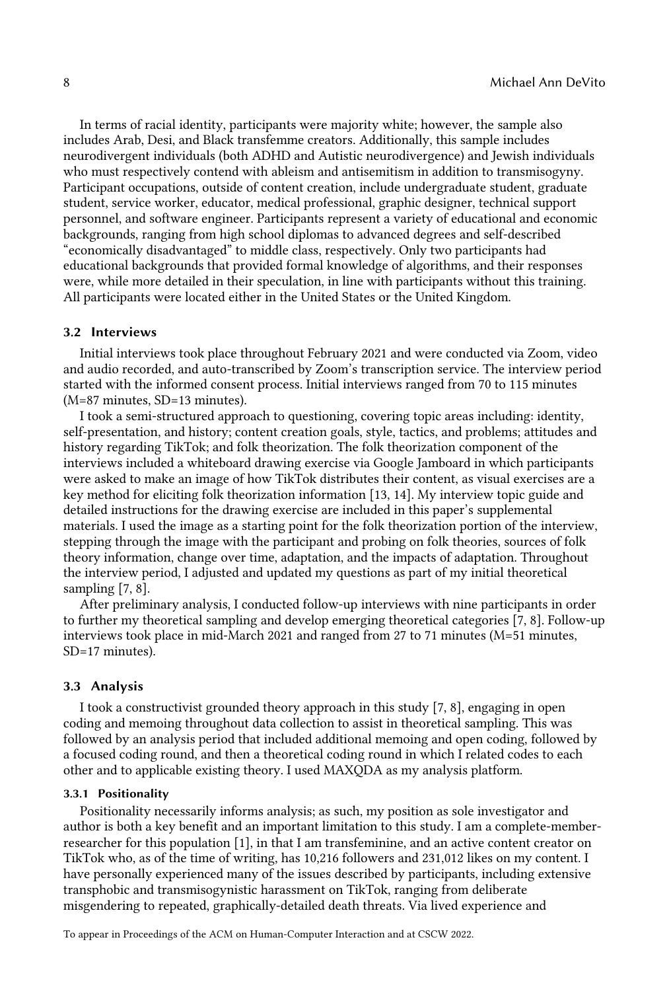In terms of racial identity, participants were majority white; however, the sample also neurodivergent individuals (both ADHD and Autistic neurodivergence) and Jewish individuals who must respectively contend with ableism and antisemitism in addition to transmisogyny. Participant occupations, outside of content creation, include undergraduate student, graduate student, service worker, educator, medical professional, graphic designer, technical support personnel, and software engineer. Participants represent a variety of educational and economic backgrounds, ranging from high school diplomas to advanced degrees and self-described "economically disadvantaged" to middle class, respectively. Only two participants had educational backgrounds that provided formal knowledge of algorithms, and their responses were, while more detailed in their speculation, in line with participants without this training. All participants were located either in the United States or the United Kingdom. includes Arab, Desi, and Black transfemme creators. Additionally, this sample includes

# 3.2 Interviews

 Initial interviews took place throughout February 2021 and were conducted via Zoom, video and audio recorded, and auto-transcribed by Zoom's transcription service. The interview period started with the informed consent process. Initial interviews ranged from 70 to 115 minutes (M=87 minutes, SD=13 minutes).

 I took a semi-structured approach to questioning, covering topic areas including: identity, self-presentation, and history; content creation goals, style, tactics, and problems; attitudes and history regarding TikTok; and folk theorization. The folk theorization component of the were asked to make an image of how TikTok distributes their content, as visual exercises are a key method for eliciting folk theorization information [13, 14]. My interview topic guide and detailed instructions for the drawing exercise are included in this paper's supplemental materials. I used the image as a starting point for the folk theorization portion of the interview, stepping through the image with the participant and probing on folk theories, sources of folk theory information, change over time, adaptation, and the impacts of adaptation. Throughout the interview period, I adjusted and updated my questions as part of my initial theoretical interviews included a whiteboard drawing exercise via Google Jamboard in which participants sampling [7, 8].

 After preliminary analysis, I conducted follow-up interviews with nine participants in order to further my theoretical sampling and develop emerging theoretical categories [7, 8]. Follow-up interviews took place in mid-March 2021 and ranged from 27 to 71 minutes (M=51 minutes, SD=17 minutes).

#### 3.3 Analysis

 I took a constructivist grounded theory approach in this study [7, 8], engaging in open coding and memoing throughout data collection to assist in theoretical sampling. This was followed by an analysis period that included additional memoing and open coding, followed by a focused coding round, and then a theoretical coding round in which I related codes to each other and to applicable existing theory. I used MAXQDA as my analysis platform.

#### 3.3.1 Positionality

 Positionality necessarily informs analysis; as such, my position as sole investigator and author is both a key benefit and an important limitation to this study. I am a complete-member- researcher for this population [1], in that I am transfeminine, and an active content creator on TikTok who, as of the time of writing, has 10,216 followers and 231,012 likes on my content. I have personally experienced many of the issues described by participants, including extensive transphobic and transmisogynistic harassment on TikTok, ranging from deliberate misgendering to repeated, graphically-detailed death threats. Via lived experience and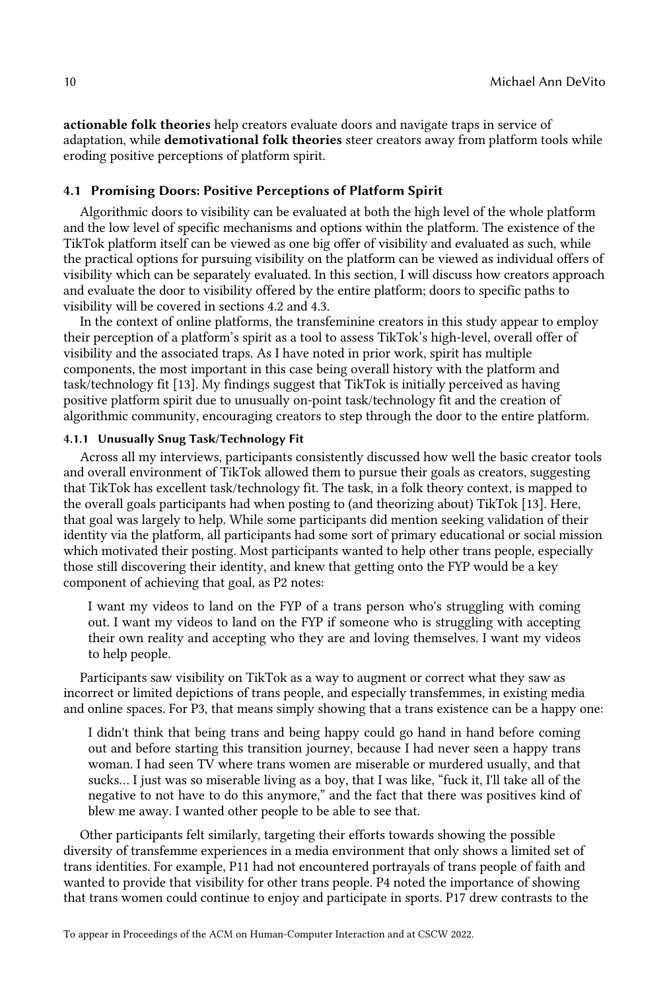actionable folk theories help creators evaluate doors and navigate traps in service of adaptation, while demotivational folk theories steer creators away from platform tools while eroding positive perceptions of platform spirit.

#### 4.1 Promising Doors: Positive Perceptions of Platform Spirit

 Algorithmic doors to visibility can be evaluated at both the high level of the whole platform and the low level of specific mechanisms and options within the platform. The existence of the TikTok platform itself can be viewed as one big offer of visibility and evaluated as such, while the practical options for pursuing visibility on the platform can be viewed as individual offers of visibility which can be separately evaluated. In this section, I will discuss how creators approach visibility will be covered in sections 4.2 and 4.3. and evaluate the door to visibility offered by the entire platform; doors to specific paths to

 In the context of online platforms, the transfeminine creators in this study appear to employ their perception of a platform's spirit as a tool to assess TikTok's high-level, overall offer of components, the most important in this case being overall history with the platform and positive platform spirit due to unusually on-point task/technology fit and the creation of algorithmic community, encouraging creators to step through the door to the entire platform. visibility and the associated traps. As I have noted in prior work, spirit has multiple task/technology fit [13]. My findings suggest that TikTok is initially perceived as having

#### 4.1.1 Unusually Snug Task/Technology Fit

 Across all my interviews, participants consistently discussed how well the basic creator tools and overall environment of TikTok allowed them to pursue their goals as creators, suggesting that TikTok has excellent task/technology fit. The task, in a folk theory context, is mapped to the overall goals participants had when posting to (and theorizing about) TikTok [13]. Here, that goal was largely to help. While some participants did mention seeking validation of their identity via the platform, all participants had some sort of primary educational or social mission which motivated their posting. Most participants wanted to help other trans people, especially those still discovering their identity, and knew that getting onto the FYP would be a key component of achieving that goal, as P2 notes:

 I want my videos to land on the FYP of a trans person who's struggling with coming out. I want my videos to land on the FYP if someone who is struggling with accepting their own reality and accepting who they are and loving themselves. I want my videos to help people.

 Participants saw visibility on TikTok as a way to augment or correct what they saw as incorrect or limited depictions of trans people, and especially transfemmes, in existing media and online spaces. For P3, that means simply showing that a trans existence can be a happy one:

 I didn't think that being trans and being happy could go hand in hand before coming out and before starting this transition journey, because I had never seen a happy trans woman. I had seen TV where trans women are miserable or murdered usually, and that sucks… I just was so miserable living as a boy, that I was like, "fuck it, I'll take all of the negative to not have to do this anymore," and the fact that there was positives kind of blew me away. I wanted other people to be able to see that.

 Other participants felt similarly, targeting their efforts towards showing the possible diversity of transfemme experiences in a media environment that only shows a limited set of trans identities. For example, P11 had not encountered portrayals of trans people of faith and wanted to provide that visibility for other trans people. P4 noted the importance of showing that trans women could continue to enjoy and participate in sports. P17 drew contrasts to the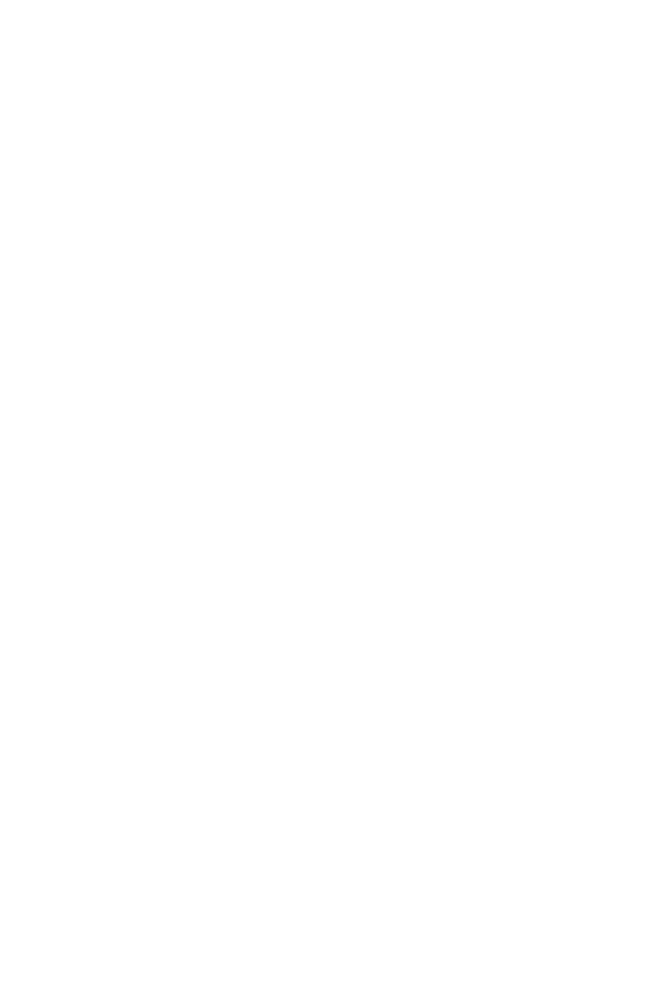#### 3.1 Participants

**M** past work has documented, many varied users of dkkface situations where they feel their identity is underrepresented the platform H ere, Ahoose to focus on transfeminine creators specifically hen doing folk theory work and eliciting latent knowledge, it is often useful to focus opraup with heightened concertor both ease of elicitation and the ability to capture both mainstream and particularly challenging outlier peopleare anexcellent example of one of these heightened experience Transfeminine groups in the context of theorization about social platforms, and especially platform moderation systems due to the factors discussed in section & such, transfemmes are in an ideal position to, through aring their informal theorization and lived experiences on a platform, help generate closto-the ground desub¤gated knowled **e** on this topic<sup>⊠</sup>

K a similar vein, Those to focus exclusively on people who primarily identify as content creators ast work has covered mixed se groups on TikTok and **Xand by focusing** on creators, than more thoroughly investigate the problems faced during content creation specifically, with a group of participants who are more likely to be aware of these issues due to their own use goals  $\boxtimes$ 

#### 3.1.1 Recruiting

Ecruit ing took place via TikTok itself posted a recruiting videnth study detailsnd a request to share and engage with the videomy own TikTok page in early &bruary  $\boxtimes$ , after two months of posting trans and transferrometric content to my accotumed engaging with other transfemme creatdfshe time, and Mollowers The video washared **X** times and was iewed by over KI ik Tok users, &f whom saw it on the Asuggesting they were from outside my immediate network Monden distribution, Added the hashtags Eranstok, Algorithm, Algorithmtiktok, Erans, Eransfemme, Firlslikeus, Ebt, Entf, Eransgirl, and Eesearch to the postHeerested viewers were directed to direct message me, so long as they fit the eligibility terial ransfeminine, Mr older, a content creator, and over **Mollowers to ensure that the participant was actively creating content and pursuing a** following

## 3.1.2 Demographics

To preserve participant privacy, Mo not report on individual identities or demographics. participants ranged in age from No Nyears old N **XXIII** participants wereontent creators posting toTikTok, with followings ranging from Mo Mollowers at the time of initial interview Mediam followers and content hat had drawn from **Mo Mi**kes at the time of initial interview Median ikes **Trange of genders under the transfeminine** umbrella are represented, including creators who are binary trans women, transfeminine nonbinary, nonbinary trans women, and transfeminine Minilarly, a range of anxient romantiorientations is represented, including lesbian, bisexual, pansexual, queer, Enby for enby, And androsexuâl participants were out about their gendend sexuality, especially in an online context ticipants variously use sheller, shellhey, and they Khem pronouns participants who use multiple pronouns will be red to using both pronouns in the rest of this paper<sup> $\boxtimes$ </sup>

<sup>3</sup> https://vm.tiktok.com/TTPd9mYxLb/

<sup>4 1,000</sup> followers is a key milestone on TikTok, as it unlocks the ability to go live. Additionally, the primary creator organization for TikTok, The Online Creators Association, has established this as the threshold for being an official creator and admission to the association.

<sup>&</sup>lt;sup>5</sup> An orientation in which a nonbinary person is primarily attracted to other nonbinary people.

<sup>&</sup>lt;sup>6</sup> An orientation in which a person is primarily attracted to those who present in a masculine way.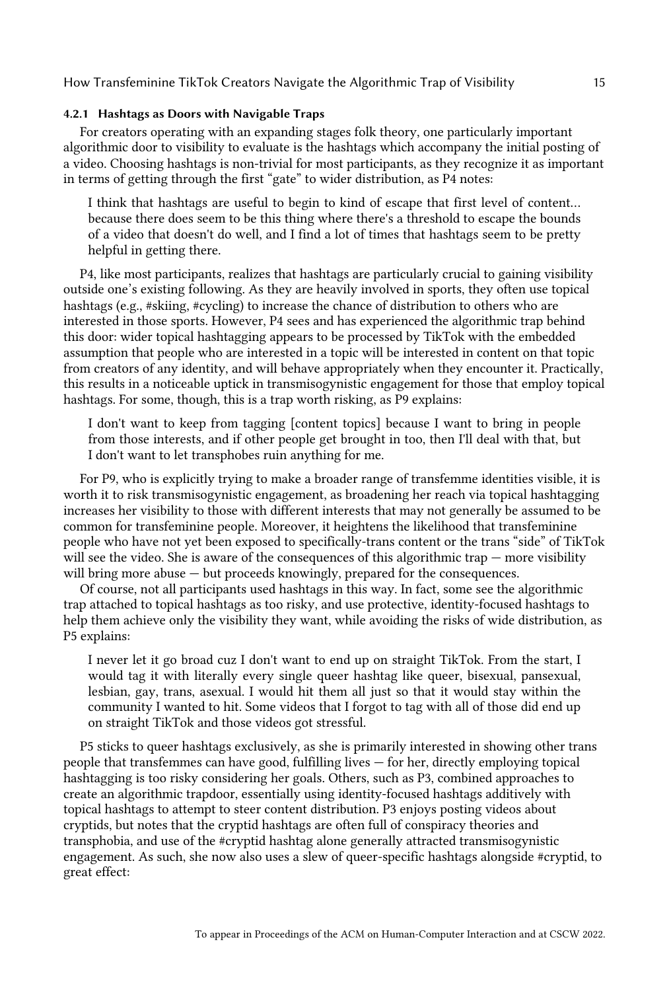#### 4.2.1 Hashtags as Doors with Navigable Traps

 algorithmic door to visibility to evaluate is the hashtags which accompany the initial posting of a video. Choosing hashtags is non-trivial for most participants, as they recognize it as important For creators operating with an expanding stages folk theory, one particularly important in terms of getting through the first "gate" to wider distribution, as P4 notes:

 I think that hashtags are useful to begin to kind of escape that first level of content… because there does seem to be this thing where there's a threshold to escape the bounds of a video that doesn't do well, and I find a lot of times that hashtags seem to be pretty helpful in getting there.

 P4, like most participants, realizes that hashtags are particularly crucial to gaining visibility outside one's existing following. As they are heavily involved in sports, they often use topical hashtags (e.g., #skiing, #cycling) to increase the chance of distribution to others who are interested in those sports. However, P4 sees and has experienced the algorithmic trap behind this door: wider topical hashtagging appears to be processed by TikTok with the embedded assumption that people who are interested in a topic will be interested in content on that topic from creators of any identity, and will behave appropriately when they encounter it. Practically, this results in a noticeable uptick in transmisogynistic engagement for those that employ topical hashtags. For some, though, this is a trap worth risking, as P9 explains:

 I don't want to keep from tagging [content topics] because I want to bring in people from those interests, and if other people get brought in too, then I'll deal with that, but I don't want to let transphobes ruin anything for me.

 For P9, who is explicitly trying to make a broader range of transfemme identities visible, it is worth it to risk transmisogynistic engagement, as broadening her reach via topical hashtagging common for transfeminine people. Moreover, it heightens the likelihood that transfeminine people who have not yet been exposed to specifically-trans content or the trans "side" of TikTok will see the video. She is aware of the consequences of this algorithmic trap — more visibility will bring more abuse – but proceeds knowingly, prepared for the consequences. increases her visibility to those with different interests that may not generally be assumed to be

 Of course, not all participants used hashtags in this way. In fact, some see the algorithmic trap attached to topical hashtags as too risky, and use protective, identity-focused hashtags to help them achieve only the visibility they want, while avoiding the risks of wide distribution, as P5 explains:

 I never let it go broad cuz I don't want to end up on straight TikTok. From the start, I would tag it with literally every single queer hashtag like queer, bisexual, pansexual, lesbian, gay, trans, asexual. I would hit them all just so that it would stay within the community I wanted to hit. Some videos that I forgot to tag with all of those did end up on straight TikTok and those videos got stressful.

 P5 sticks to queer hashtags exclusively, as she is primarily interested in showing other trans people that transfemmes can have good, fulfilling lives — for her, directly employing topical hashtagging is too risky considering her goals. Others, such as P3, combined approaches to topical hashtags to attempt to steer content distribution. P3 enjoys posting videos about cryptids, but notes that the cryptid hashtags are often full of conspiracy theories and transphobia, and use of the #cryptid hashtag alone generally attracted transmisogynistic engagement. As such, she now also uses a slew of queer-specific hashtags alongside #cryptid, to create an algorithmic trapdoor, essentially using identity-focused hashtags additively with great effect: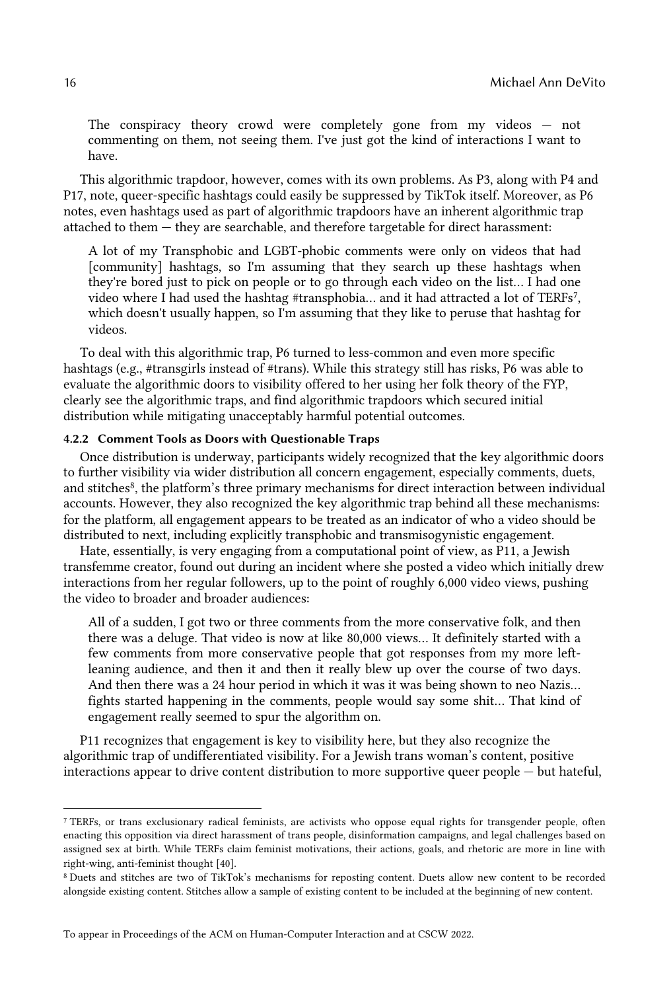The conspiracy theory crowd were completely gone from my videos — not commenting on them, not seeing them. I've just got the kind of interactions I want to have.

 This algorithmic trapdoor, however, comes with its own problems. As P3, along with P4 and P17, note, queer-specific hashtags could easily be suppressed by TikTok itself. Moreover, as P6 attached to them — they are searchable, and therefore targetable for direct harassment: notes, even hashtags used as part of algorithmic trapdoors have an inherent algorithmic trap

 A lot of my Transphobic and LGBT-phobic comments were only on videos that had [community] hashtags, so I'm assuming that they search up these hashtags when they're bored just to pick on people or to go through each video on the list… I had one video where I had used the hashtag #transphobia... and it had attracted a lot of TERFs<sup>7</sup>, which doesn't usually happen, so I'm assuming that they like to peruse that hashtag for videos.

 To deal with this algorithmic trap, P6 turned to less-common and even more specific hashtags (e.g., #transgirls instead of #trans). While this strategy still has risks, P6 was able to evaluate the algorithmic doors to visibility offered to her using her folk theory of the FYP, clearly see the algorithmic traps, and find algorithmic trapdoors which secured initial distribution while mitigating unacceptably harmful potential outcomes.

# 4.2.2 Comment Tools as Doors with Questionable Traps

 Once distribution is underway, participants widely recognized that the key algorithmic doors to further visibility via wider distribution all concern engagement, especially comments, duets, accounts. However, they also recognized the key algorithmic trap behind all these mechanisms: for the platform, all engagement appears to be treated as an indicator of who a video should be and stitches<sup>8</sup>, the platform's three primary mechanisms for direct interaction between individual distributed to next, including explicitly transphobic and transmisogynistic engagement.

 Hate, essentially, is very engaging from a computational point of view, as P11, a Jewish transfemme creator, found out during an incident where she posted a video which initially drew the video to broader and broader audiences: interactions from her regular followers, up to the point of roughly 6,000 video views, pushing

 All of a sudden, I got two or three comments from the more conservative folk, and then there was a deluge. That video is now at like 80,000 views… It definitely started with a few comments from more conservative people that got responses from my more left- leaning audience, and then it and then it really blew up over the course of two days. And then there was a 24 hour period in which it was it was being shown to neo Nazis… fights started happening in the comments, people would say some shit… That kind of engagement really seemed to spur the algorithm on.

 P11 recognizes that engagement is key to visibility here, but they also recognize the algorithmic trap of undifferentiated visibility. For a Jewish trans woman's content, positive interactions appear to drive content distribution to more supportive queer people — but hateful,

<sup>7</sup> TERFs, or trans exclusionary radical feminists, are activists who oppose equal rights for transgender people, often enacting this opposition via direct harassment of trans people, disinformation campaigns, and legal challenges based on assigned sex at birth. While TERFs claim feminist motivations, their actions, goals, and rhetoric are more in line with right-wing, anti-feminist thought [40].

<sup>8</sup> Duets and stitches are two of TikTok's mechanisms for reposting content. Duets allow new content to be recorded alongside existing content. Stitches allow a sample of existing content to be included at the beginning of new content.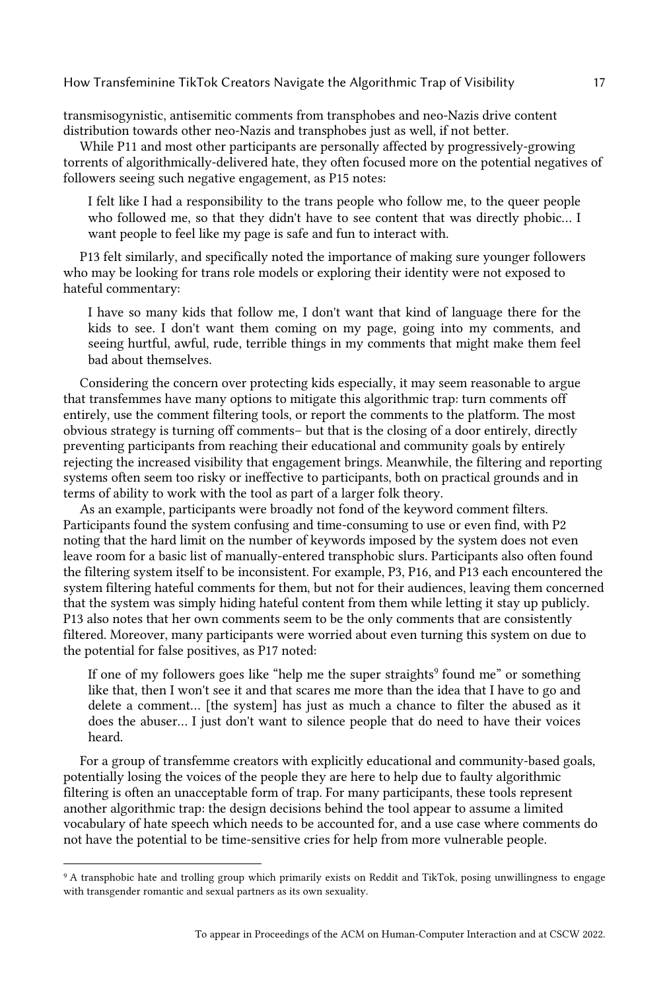transmisogynistic, antisemitic comments from transphobes and neo-Nazis drive content distribution towards other neo-Nazis and transphobes just as well, if not better.

 While P11 and most other participants are personally affected by progressively-growing torrents of algorithmically-delivered hate, they often focused more on the potential negatives of followers seeing such negative engagement, as P15 notes:

 I felt like I had a responsibility to the trans people who follow me, to the queer people who followed me, so that they didn't have to see content that was directly phobic… I want people to feel like my page is safe and fun to interact with.

 P13 felt similarly, and specifically noted the importance of making sure younger followers who may be looking for trans role models or exploring their identity were not exposed to hateful commentary:

 I have so many kids that follow me, I don't want that kind of language there for the kids to see. I don't want them coming on my page, going into my comments, and seeing hurtful, awful, rude, terrible things in my comments that might make them feel bad about themselves.

 Considering the concern over protecting kids especially, it may seem reasonable to argue that transfemmes have many options to mitigate this algorithmic trap: turn comments off entirely, use the comment filtering tools, or report the comments to the platform. The most obvious strategy is turning off comments– but that is the closing of a door entirely, directly preventing participants from reaching their educational and community goals by entirely rejecting the increased visibility that engagement brings. Meanwhile, the filtering and reporting systems often seem too risky or ineffective to participants, both on practical grounds and in terms of ability to work with the tool as part of a larger folk theory.

 As an example, participants were broadly not fond of the keyword comment filters. Participants found the system confusing and time-consuming to use or even find, with P2 noting that the hard limit on the number of keywords imposed by the system does not even the filtering system itself to be inconsistent. For example, P3, P16, and P13 each encountered the system filtering hateful comments for them, but not for their audiences, leaving them concerned that the system was simply hiding hateful content from them while letting it stay up publicly. P13 also notes that her own comments seem to be the only comments that are consistently filtered. Moreover, many participants were worried about even turning this system on due to the potential for false positives, as P17 noted: leave room for a basic list of manually-entered transphobic slurs. Participants also often found

If one of my followers goes like "help me the super straights<sup>9</sup> found me" or something like that, then I won't see it and that scares me more than the idea that I have to go and delete a comment… [the system] has just as much a chance to filter the abused as it does the abuser… I just don't want to silence people that do need to have their voices heard.

 For a group of transfemme creators with explicitly educational and community-based goals, potentially losing the voices of the people they are here to help due to faulty algorithmic filtering is often an unacceptable form of trap. For many participants, these tools represent another algorithmic trap: the design decisions behind the tool appear to assume a limited vocabulary of hate speech which needs to be accounted for, and a use case where comments do not have the potential to be time-sensitive cries for help from more vulnerable people.

<sup>9</sup> A transphobic hate and trolling group which primarily exists on Reddit and TikTok, posing unwillingness to engage with transgender romantic and sexual partners as its own sexuality.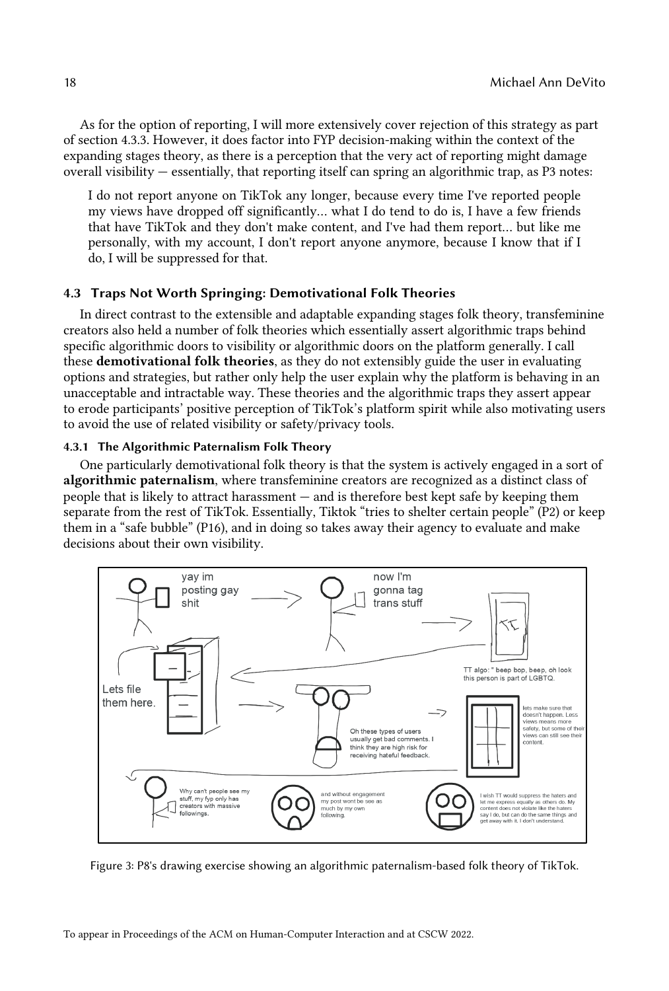As for the option of reporting, I will more extensively cover rejection of this strategy as part of section 4.3.3. However, it does factor into FYP decision-making within the context of the expanding stages theory, as there is a perception that the very act of reporting might damage overall visibility — essentially, that reporting itself can spring an algorithmic trap, as P3 notes:

 I do not report anyone on TikTok any longer, because every time I've reported people my views have dropped off significantly… what I do tend to do is, I have a few friends that have TikTok and they don't make content, and I've had them report… but like me personally, with my account, I don't report anyone anymore, because I know that if I do, I will be suppressed for that.

# 4.3 Traps Not Worth Springing: Demotivational Folk Theories

 In direct contrast to the extensible and adaptable expanding stages folk theory, transfeminine creators also held a number of folk theories which essentially assert algorithmic traps behind specific algorithmic doors to visibility or algorithmic doors on the platform generally. I call these **demotivational folk theories**, as they do not extensibly guide the user in evaluating options and strategies, but rather only help the user explain why the platform is behaving in an unacceptable and intractable way. These theories and the algorithmic traps they assert appear to erode participants' positive perception of TikTok's platform spirit while also motivating users to avoid the use of related visibility or safety/privacy tools.

# 4.3.1 The Algorithmic Paternalism Folk Theory

 One particularly demotivational folk theory is that the system is actively engaged in a sort of algorithmic paternalism, where transfeminine creators are recognized as a distinct class of people that is likely to attract harassment — and is therefore best kept safe by keeping them separate from the rest of TikTok. Essentially, Tiktok "tries to shelter certain people" (P2) or keep decisions about their own visibility. them in a "safe bubble" (P16), and in doing so takes away their agency to evaluate and make



Figure 3: P8's drawing exercise showing an algorithmic paternalism-based folk theory of TikTok.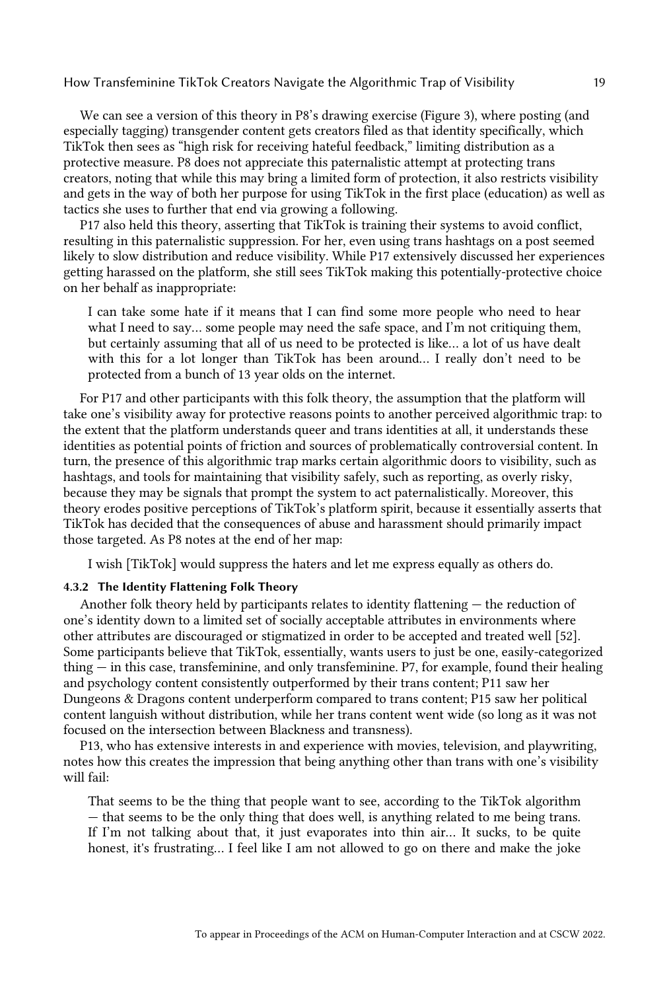We can see a version of this theory in P8's drawing exercise (Figure 3), where posting (and especially tagging) transgender content gets creators filed as that identity specifically, which TikTok then sees as "high risk for receiving hateful feedback," limiting distribution as a protective measure. P8 does not appreciate this paternalistic attempt at protecting trans creators, noting that while this may bring a limited form of protection, it also restricts visibility and gets in the way of both her purpose for using TikTok in the first place (education) as well as tactics she uses to further that end via growing a following.

 P17 also held this theory, asserting that TikTok is training their systems to avoid conflict, resulting in this paternalistic suppression. For her, even using trans hashtags on a post seemed getting harassed on the platform, she still sees TikTok making this potentially-protective choice on her behalf as inappropriate: likely to slow distribution and reduce visibility. While P17 extensively discussed her experiences

 I can take some hate if it means that I can find some more people who need to hear what I need to say… some people may need the safe space, and I'm not critiquing them, but certainly assuming that all of us need to be protected is like… a lot of us have dealt with this for a lot longer than TikTok has been around… I really don't need to be protected from a bunch of 13 year olds on the internet.

 For P17 and other participants with this folk theory, the assumption that the platform will take one's visibility away for protective reasons points to another perceived algorithmic trap: to the extent that the platform understands queer and trans identities at all, it understands these identities as potential points of friction and sources of problematically controversial content. In turn, the presence of this algorithmic trap marks certain algorithmic doors to visibility, such as hashtags, and tools for maintaining that visibility safely, such as reporting, as overly risky, because they may be signals that prompt the system to act paternalistically. Moreover, this theory erodes positive perceptions of TikTok's platform spirit, because it essentially asserts that TikTok has decided that the consequences of abuse and harassment should primarily impact those targeted. As P8 notes at the end of her map:

I wish [TikTok] would suppress the haters and let me express equally as others do.

#### 4.3.2 The Identity Flattening Folk Theory

 Another folk theory held by participants relates to identity flattening — the reduction of one's identity down to a limited set of socially acceptable attributes in environments where other attributes are discouraged or stigmatized in order to be accepted and treated well [52]. Some participants believe that TikTok, essentially, wants users to just be one, easily-categorized thing — in this case, transfeminine, and only transfeminine. P7, for example, found their healing and psychology content consistently outperformed by their trans content; P11 saw her Dungeons & Dragons content underperform compared to trans content; P15 saw her political content languish without distribution, while her trans content went wide (so long as it was not focused on the intersection between Blackness and transness).

 P13, who has extensive interests in and experience with movies, television, and playwriting, notes how this creates the impression that being anything other than trans with one's visibility will fail:

 That seems to be the thing that people want to see, according to the TikTok algorithm — that seems to be the only thing that does well, is anything related to me being trans. If I'm not talking about that, it just evaporates into thin air… It sucks, to be quite honest, it's frustrating… I feel like I am not allowed to go on there and make the joke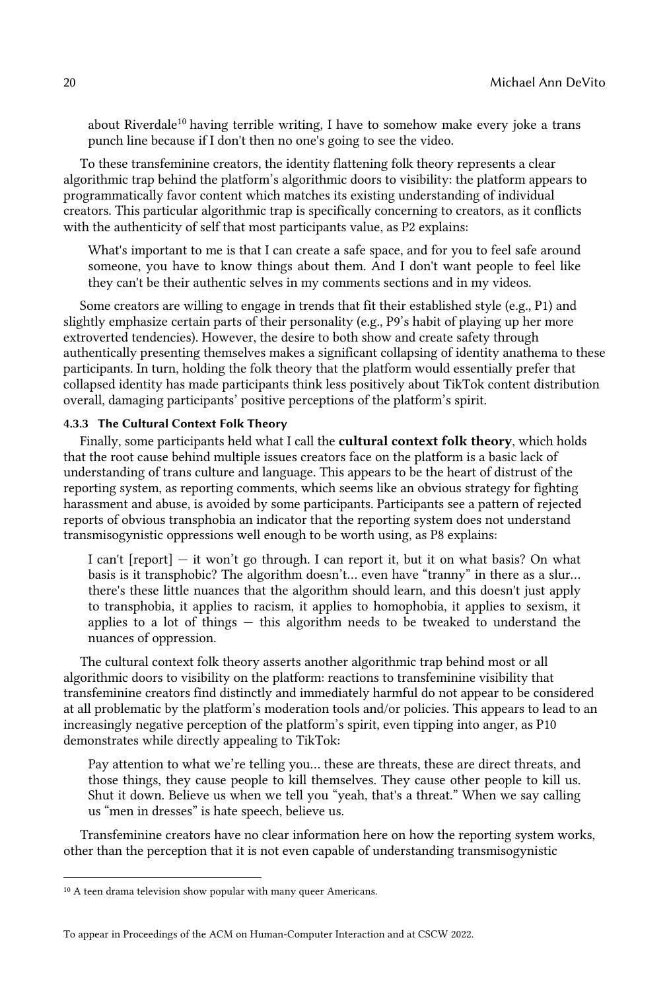about Riverdale<sup>10</sup> having terrible writing, I have to somehow make every joke a trans punch line because if I don't then no one's going to see the video.

 To these transfeminine creators, the identity flattening folk theory represents a clear algorithmic trap behind the platform's algorithmic doors to visibility: the platform appears to programmatically favor content which matches its existing understanding of individual creators. This particular algorithmic trap is specifically concerning to creators, as it conflicts with the authenticity of self that most participants value, as P2 explains:

 What's important to me is that I can create a safe space, and for you to feel safe around someone, you have to know things about them. And I don't want people to feel like they can't be their authentic selves in my comments sections and in my videos.

 Some creators are willing to engage in trends that fit their established style (e.g., P1) and slightly emphasize certain parts of their personality (e.g., P9's habit of playing up her more extroverted tendencies). However, the desire to both show and create safety through participants. In turn, holding the folk theory that the platform would essentially prefer that collapsed identity has made participants think less positively about TikTok content distribution overall, damaging participants' positive perceptions of the platform's spirit. authentically presenting themselves makes a significant collapsing of identity anathema to these

## 4.3.3 The Cultural Context Folk Theory

Finally, some participants held what I call the **cultural context folk theory**, which holds that the root cause behind multiple issues creators face on the platform is a basic lack of understanding of trans culture and language. This appears to be the heart of distrust of the reporting system, as reporting comments, which seems like an obvious strategy for fighting harassment and abuse, is avoided by some participants. Participants see a pattern of rejected reports of obvious transphobia an indicator that the reporting system does not understand transmisogynistic oppressions well enough to be worth using, as P8 explains:

 I can't [report] — it won't go through. I can report it, but it on what basis? On what basis is it transphobic? The algorithm doesn't… even have "tranny" in there as a slur… there's these little nuances that the algorithm should learn, and this doesn't just apply to transphobia, it applies to racism, it applies to homophobia, it applies to sexism, it applies to a lot of things — this algorithm needs to be tweaked to understand the nuances of oppression.

 The cultural context folk theory asserts another algorithmic trap behind most or all algorithmic doors to visibility on the platform: reactions to transfeminine visibility that transfeminine creators find distinctly and immediately harmful do not appear to be considered at all problematic by the platform's moderation tools and/or policies. This appears to lead to an increasingly negative perception of the platform's spirit, even tipping into anger, as P10 demonstrates while directly appealing to TikTok:

 Pay attention to what we're telling you… these are threats, these are direct threats, and those things, they cause people to kill themselves. They cause other people to kill us. Shut it down. Believe us when we tell you "yeah, that's a threat." When we say calling us "men in dresses" is hate speech, believe us.

 Transfeminine creators have no clear information here on how the reporting system works, other than the perception that it is not even capable of understanding transmisogynistic

<sup>10</sup> A teen drama television show popular with many queer Americans.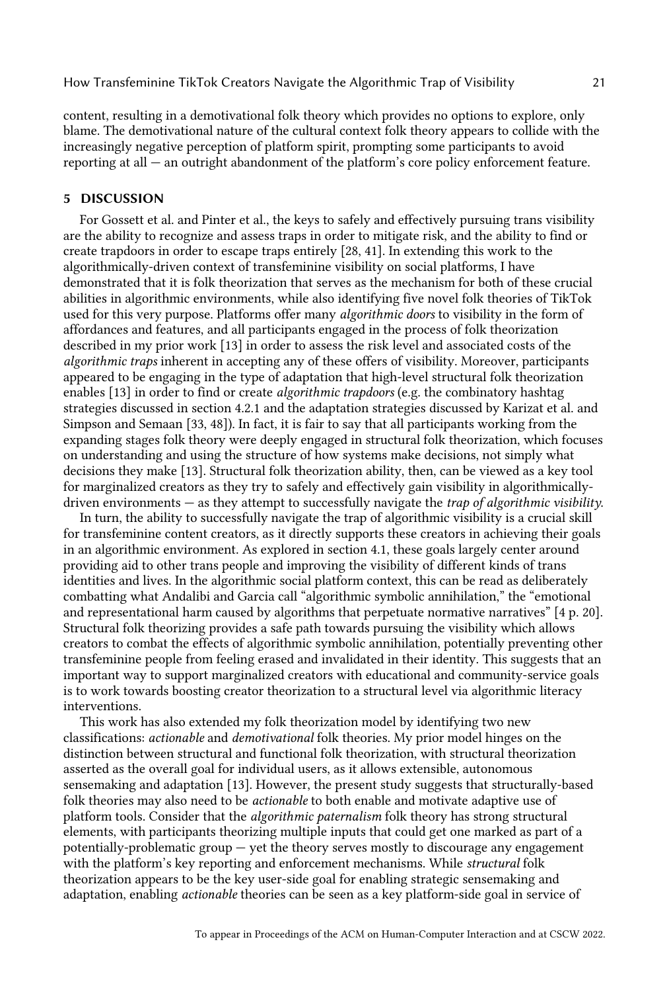How Transfeminine TikTok Creators Navigate the Algorithmic Trap of Visibility 21

 content, resulting in a demotivational folk theory which provides no options to explore, only blame. The demotivational nature of the cultural context folk theory appears to collide with the reporting at all — an outright abandonment of the platform's core policy enforcement feature. increasingly negative perception of platform spirit, prompting some participants to avoid

## 5 DISCUSSION

 For Gossett et al. and Pinter et al., the keys to safely and effectively pursuing trans visibility are the ability to recognize and assess traps in order to mitigate risk, and the ability to find or create trapdoors in order to escape traps entirely [28, 41]. In extending this work to the algorithmically-driven context of transfeminine visibility on social platforms, I have demonstrated that it is folk theorization that serves as the mechanism for both of these crucial used for this very purpose. Platforms offer many *algorithmic doors* to visibility in the form of affordances and features, and all participants engaged in the process of folk theorization described in my prior work [13] in order to assess the risk level and associated costs of the  *algorithmic traps* inherent in accepting any of these offers of visibility. Moreover, participants enables [13] in order to find or create *algorithmic trapdoors* (e.g. the combinatory hashtag strategies discussed in section 4.2.1 and the adaptation strategies discussed by Karizat et al. and Simpson and Semaan [33, 48]). In fact, it is fair to say that all participants working from the expanding stages folk theory were deeply engaged in structural folk theorization, which focuses on understanding and using the structure of how systems make decisions, not simply what decisions they make [13]. Structural folk theorization ability, then, can be viewed as a key tool for marginalized creators as they try to safely and effectively gain visibility in algorithmically- driven environments — as they attempt to successfully navigate the *trap of algorithmic visibility*. abilities in algorithmic environments, while also identifying five novel folk theories of TikTok appeared to be engaging in the type of adaptation that high-level structural folk theorization

 In turn, the ability to successfully navigate the trap of algorithmic visibility is a crucial skill for transfeminine content creators, as it directly supports these creators in achieving their goals in an algorithmic environment. As explored in section 4.1, these goals largely center around providing aid to other trans people and improving the visibility of different kinds of trans identities and lives. In the algorithmic social platform context, this can be read as deliberately combatting what Andalibi and Garcia call "algorithmic symbolic annihilation," the "emotional and representational harm caused by algorithms that perpetuate normative narratives" [4 p. 20]. Structural folk theorizing provides a safe path towards pursuing the visibility which allows creators to combat the effects of algorithmic symbolic annihilation, potentially preventing other transfeminine people from feeling erased and invalidated in their identity. This suggests that an is to work towards boosting creator theorization to a structural level via algorithmic literacy important way to support marginalized creators with educational and community-service goals interventions.

 This work has also extended my folk theorization model by identifying two new classifications: *actionable* and *demotivational* folk theories. My prior model hinges on the distinction between structural and functional folk theorization, with structural theorization asserted as the overall goal for individual users, as it allows extensible, autonomous sensemaking and adaptation [13]. However, the present study suggests that structurally-based folk theories may also need to be *actionable* to both enable and motivate adaptive use of platform tools. Consider that the *algorithmic paternalism* folk theory has strong structural elements, with participants theorizing multiple inputs that could get one marked as part of a potentially-problematic group — yet the theory serves mostly to discourage any engagement with the platform's key reporting and enforcement mechanisms. While *structural* folk theorization appears to be the key user-side goal for enabling strategic sensemaking and adaptation, enabling *actionable* theories can be seen as a key platform-side goal in service of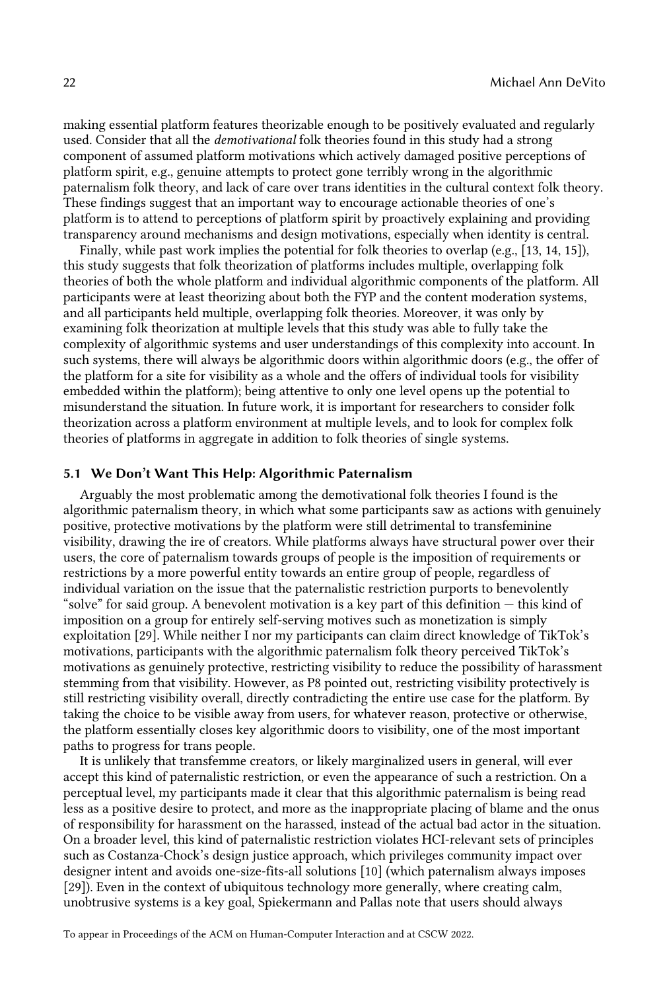making essential platform features theorizable enough to be positively evaluated and regularly used. Consider that all the *demotivational* folk theories found in this study had a strong component of assumed platform motivations which actively damaged positive perceptions of platform spirit, e.g., genuine attempts to protect gone terribly wrong in the algorithmic paternalism folk theory, and lack of care over trans identities in the cultural context folk theory. These findings suggest that an important way to encourage actionable theories of one's platform is to attend to perceptions of platform spirit by proactively explaining and providing transparency around mechanisms and design motivations, especially when identity is central.

 Finally, while past work implies the potential for folk theories to overlap (e.g., [13, 14, 15]), this study suggests that folk theorization of platforms includes multiple, overlapping folk theories of both the whole platform and individual algorithmic components of the platform. All participants were at least theorizing about both the FYP and the content moderation systems, and all participants held multiple, overlapping folk theories. Moreover, it was only by examining folk theorization at multiple levels that this study was able to fully take the complexity of algorithmic systems and user understandings of this complexity into account. In such systems, there will always be algorithmic doors within algorithmic doors (e.g., the offer of the platform for a site for visibility as a whole and the offers of individual tools for visibility embedded within the platform); being attentive to only one level opens up the potential to misunderstand the situation. In future work, it is important for researchers to consider folk theorization across a platform environment at multiple levels, and to look for complex folk theories of platforms in aggregate in addition to folk theories of single systems.

# 5.1 We Don't Want This Help: Algorithmic Paternalism

 Arguably the most problematic among the demotivational folk theories I found is the algorithmic paternalism theory, in which what some participants saw as actions with genuinely positive, protective motivations by the platform were still detrimental to transfeminine visibility, drawing the ire of creators. While platforms always have structural power over their users, the core of paternalism towards groups of people is the imposition of requirements or restrictions by a more powerful entity towards an entire group of people, regardless of "solve" for said group. A benevolent motivation is a key part of this definition — this kind of imposition on a group for entirely self-serving motives such as monetization is simply exploitation [29]. While neither I nor my participants can claim direct knowledge of TikTok's motivations, participants with the algorithmic paternalism folk theory perceived TikTok's motivations as genuinely protective, restricting visibility to reduce the possibility of harassment stemming from that visibility. However, as P8 pointed out, restricting visibility protectively is still restricting visibility overall, directly contradicting the entire use case for the platform. By taking the choice to be visible away from users, for whatever reason, protective or otherwise, the platform essentially closes key algorithmic doors to visibility, one of the most important paths to progress for trans people. individual variation on the issue that the paternalistic restriction purports to benevolently

 It is unlikely that transfemme creators, or likely marginalized users in general, will ever accept this kind of paternalistic restriction, or even the appearance of such a restriction. On a perceptual level, my participants made it clear that this algorithmic paternalism is being read of responsibility for harassment on the harassed, instead of the actual bad actor in the situation. On a broader level, this kind of paternalistic restriction violates HCI-relevant sets of principles such as Costanza-Chock's design justice approach, which privileges community impact over designer intent and avoids one-size-fits-all solutions [10] (which paternalism always imposes [29]). Even in the context of ubiquitous technology more generally, where creating calm, unobtrusive systems is a key goal, Spiekermann and Pallas note that users should always less as a positive desire to protect, and more as the inappropriate placing of blame and the onus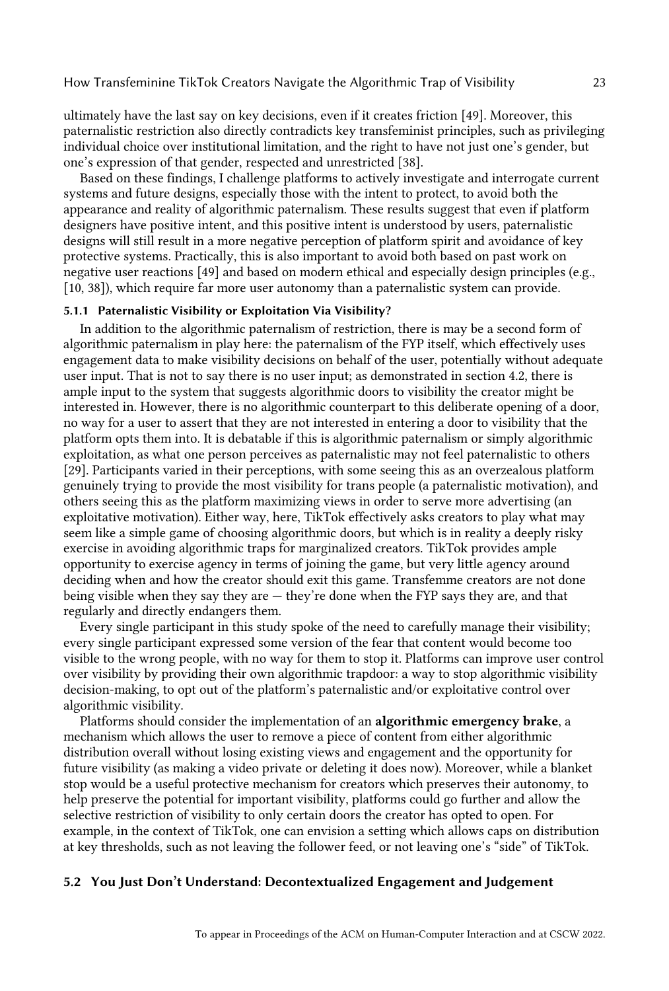ultimately have the last say on key decisions, even if it creates friction [49]. Moreover, this paternalistic restriction also directly contradicts key transfeminist principles, such as privileging individual choice over institutional limitation, and the right to have not just one's gender, but one's expression of that gender, respected and unrestricted [38].

 Based on these findings, I challenge platforms to actively investigate and interrogate current systems and future designs, especially those with the intent to protect, to avoid both the appearance and reality of algorithmic paternalism. These results suggest that even if platform designers have positive intent, and this positive intent is understood by users, paternalistic designs will still result in a more negative perception of platform spirit and avoidance of key protective systems. Practically, this is also important to avoid both based on past work on negative user reactions [49] and based on modern ethical and especially design principles (e.g., [10, 38]), which require far more user autonomy than a paternalistic system can provide.

## 5.1.1 Paternalistic Visibility or Exploitation Via Visibility?

 In addition to the algorithmic paternalism of restriction, there is may be a second form of algorithmic paternalism in play here: the paternalism of the FYP itself, which effectively uses engagement data to make visibility decisions on behalf of the user, potentially without adequate user input. That is not to say there is no user input; as demonstrated in section 4.2, there is ample input to the system that suggests algorithmic doors to visibility the creator might be interested in. However, there is no algorithmic counterpart to this deliberate opening of a door, no way for a user to assert that they are not interested in entering a door to visibility that the platform opts them into. It is debatable if this is algorithmic paternalism or simply algorithmic [29]. Participants varied in their perceptions, with some seeing this as an overzealous platform genuinely trying to provide the most visibility for trans people (a paternalistic motivation), and others seeing this as the platform maximizing views in order to serve more advertising (an exploitative motivation). Either way, here, TikTok effectively asks creators to play what may seem like a simple game of choosing algorithmic doors, but which is in reality a deeply risky exercise in avoiding algorithmic traps for marginalized creators. TikTok provides ample opportunity to exercise agency in terms of joining the game, but very little agency around deciding when and how the creator should exit this game. Transfemme creators are not done being visible when they say they are — they're done when the FYP says they are, and that exploitation, as what one person perceives as paternalistic may not feel paternalistic to others regularly and directly endangers them.

 Every single participant in this study spoke of the need to carefully manage their visibility; every single participant expressed some version of the fear that content would become too visible to the wrong people, with no way for them to stop it. Platforms can improve user control over visibility by providing their own algorithmic trapdoor: a way to stop algorithmic visibility decision-making, to opt out of the platform's paternalistic and/or exploitative control over algorithmic visibility.

Platforms should consider the implementation of an algorithmic emergency brake, a mechanism which allows the user to remove a piece of content from either algorithmic distribution overall without losing existing views and engagement and the opportunity for future visibility (as making a video private or deleting it does now). Moreover, while a blanket stop would be a useful protective mechanism for creators which preserves their autonomy, to help preserve the potential for important visibility, platforms could go further and allow the selective restriction of visibility to only certain doors the creator has opted to open. For example, in the context of TikTok, one can envision a setting which allows caps on distribution at key thresholds, such as not leaving the follower feed, or not leaving one's "side" of TikTok.

## 5.2 You Just Don't Understand: Decontextualized Engagement and Judgement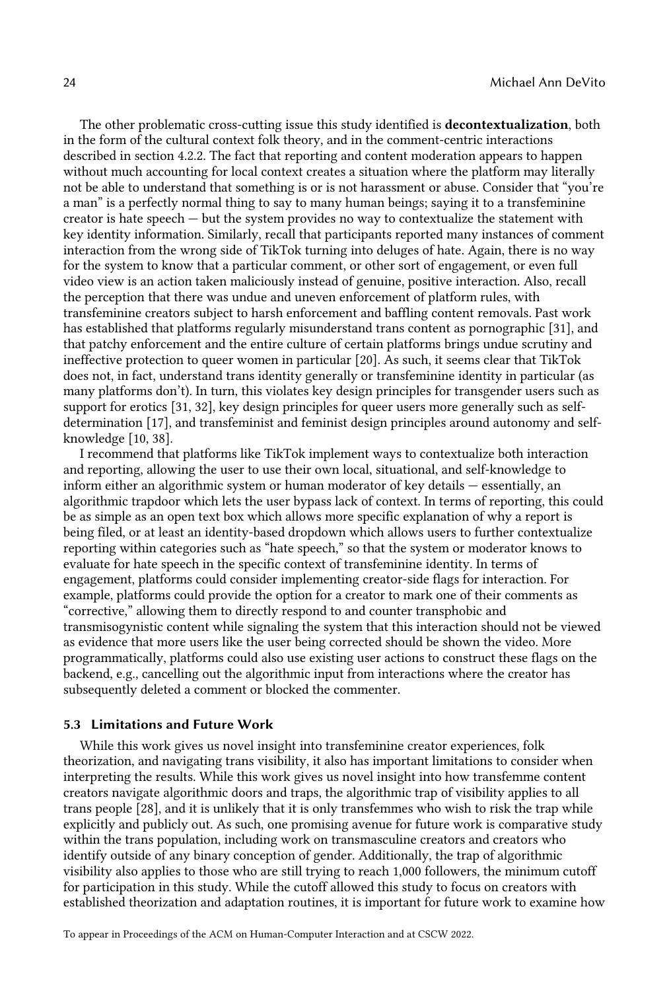The other problematic cross-cutting issue this study identified is decontextualization, both in the form of the cultural context folk theory, and in the comment-centric interactions described in section 4.2.2. The fact that reporting and content moderation appears to happen without much accounting for local context creates a situation where the platform may literally not be able to understand that something is or is not harassment or abuse. Consider that "you're a man" is a perfectly normal thing to say to many human beings; saying it to a transfeminine creator is hate speech — but the system provides no way to contextualize the statement with key identity information. Similarly, recall that participants reported many instances of comment interaction from the wrong side of TikTok turning into deluges of hate. Again, there is no way for the system to know that a particular comment, or other sort of engagement, or even full video view is an action taken maliciously instead of genuine, positive interaction. Also, recall the perception that there was undue and uneven enforcement of platform rules, with transfeminine creators subject to harsh enforcement and baffling content removals. Past work has established that platforms regularly misunderstand trans content as pornographic [31], and that patchy enforcement and the entire culture of certain platforms brings undue scrutiny and does not, in fact, understand trans identity generally or transfeminine identity in particular (as many platforms don't). In turn, this violates key design principles for transgender users such as ineffective protection to queer women in particular [20]. As such, it seems clear that TikTok support for erotics [31, 32], key design principles for queer users more generally such as selfdetermination [17], and transfeminist and feminist design principles around autonomy and selfknowledge [10, 38].

 I recommend that platforms like TikTok implement ways to contextualize both interaction and reporting, allowing the user to use their own local, situational, and self-knowledge to inform either an algorithmic system or human moderator of key details — essentially, an algorithmic trapdoor which lets the user bypass lack of context. In terms of reporting, this could be as simple as an open text box which allows more specific explanation of why a report is being filed, or at least an identity-based dropdown which allows users to further contextualize reporting within categories such as "hate speech," so that the system or moderator knows to evaluate for hate speech in the specific context of transfeminine identity. In terms of engagement, platforms could consider implementing creator-side flags for interaction. For example, platforms could provide the option for a creator to mark one of their comments as "corrective," allowing them to directly respond to and counter transphobic and transmisogynistic content while signaling the system that this interaction should not be viewed as evidence that more users like the user being corrected should be shown the video. More programmatically, platforms could also use existing user actions to construct these flags on the backend, e.g., cancelling out the algorithmic input from interactions where the creator has subsequently deleted a comment or blocked the commenter.

# 5.3 Limitations and Future Work

 While this work gives us novel insight into transfeminine creator experiences, folk theorization, and navigating trans visibility, it also has important limitations to consider when creators navigate algorithmic doors and traps, the algorithmic trap of visibility applies to all explicitly and publicly out. As such, one promising avenue for future work is comparative study within the trans population, including work on transmasculine creators and creators who visibility also applies to those who are still trying to reach 1,000 followers, the minimum cutoff for participation in this study. While the cutoff allowed this study to focus on creators with established theorization and adaptation routines, it is important for future work to examine how interpreting the results. While this work gives us novel insight into how transfemme content trans people [28], and it is unlikely that it is only transfemmes who wish to risk the trap while identify outside of any binary conception of gender. Additionally, the trap of algorithmic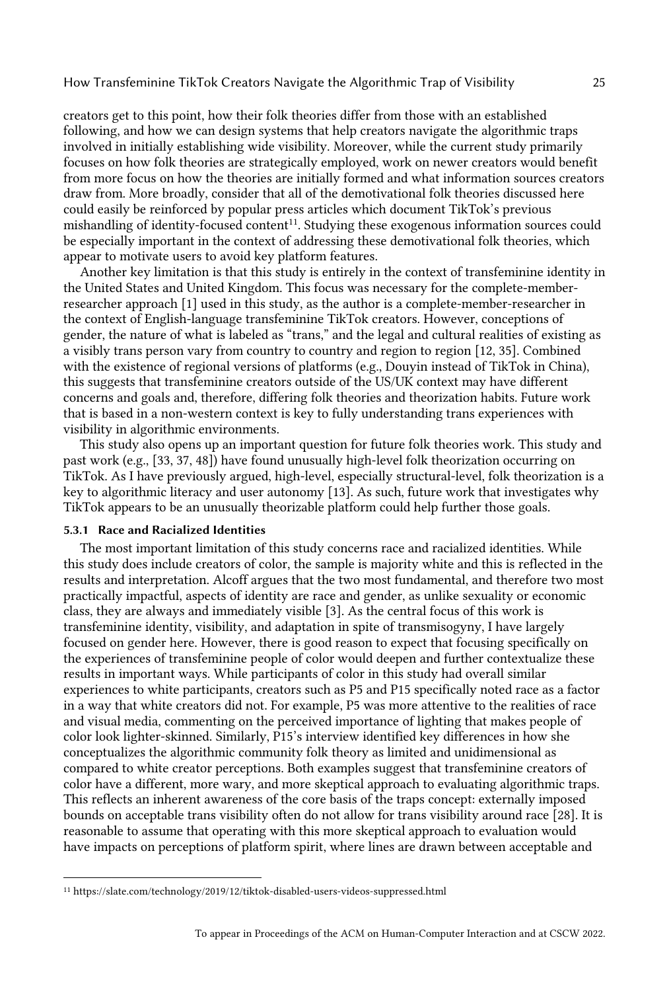creators get to this point, how their folk theories differ from those with an established following, and how we can design systems that help creators navigate the algorithmic traps involved in initially establishing wide visibility. Moreover, while the current study primarily focuses on how folk theories are strategically employed, work on newer creators would benefit from more focus on how the theories are initially formed and what information sources creators draw from. More broadly, consider that all of the demotivational folk theories discussed here could easily be reinforced by popular press articles which document TikTok's previous mishandling of identity-focused content<sup>11</sup>. Studying these exogenous information sources could be especially important in the context of addressing these demotivational folk theories, which appear to motivate users to avoid key platform features.

 Another key limitation is that this study is entirely in the context of transfeminine identity in the United States and United Kingdom. This focus was necessary for the complete-member- researcher approach [1] used in this study, as the author is a complete-member-researcher in the context of English-language transfeminine TikTok creators. However, conceptions of gender, the nature of what is labeled as "trans," and the legal and cultural realities of existing as with the existence of regional versions of platforms (e.g., Douyin instead of TikTok in China), this suggests that transfeminine creators outside of the US/UK context may have different concerns and goals and, therefore, differing folk theories and theorization habits. Future work that is based in a non-western context is key to fully understanding trans experiences with a visibly trans person vary from country to country and region to region [12, 35]. Combined visibility in algorithmic environments.

 This study also opens up an important question for future folk theories work. This study and past work (e.g., [33, 37, 48]) have found unusually high-level folk theorization occurring on TikTok. As I have previously argued, high-level, especially structural-level, folk theorization is a TikTok appears to be an unusually theorizable platform could help further those goals. key to algorithmic literacy and user autonomy [13]. As such, future work that investigates why

#### 5.3.1 Race and Racialized Identities

 The most important limitation of this study concerns race and racialized identities. While this study does include creators of color, the sample is majority white and this is reflected in the results and interpretation. Alcoff argues that the two most fundamental, and therefore two most practically impactful, aspects of identity are race and gender, as unlike sexuality or economic class, they are always and immediately visible [3]. As the central focus of this work is focused on gender here. However, there is good reason to expect that focusing specifically on the experiences of transfeminine people of color would deepen and further contextualize these results in important ways. While participants of color in this study had overall similar and visual media, commenting on the perceived importance of lighting that makes people of color look lighter-skinned. Similarly, P15's interview identified key differences in how she conceptualizes the algorithmic community folk theory as limited and unidimensional as compared to white creator perceptions. Both examples suggest that transfeminine creators of color have a different, more wary, and more skeptical approach to evaluating algorithmic traps. This reflects an inherent awareness of the core basis of the traps concept: externally imposed bounds on acceptable trans visibility often do not allow for trans visibility around race [28]. It is reasonable to assume that operating with this more skeptical approach to evaluation would have impacts on perceptions of platform spirit, where lines are drawn between acceptable and transfeminine identity, visibility, and adaptation in spite of transmisogyny, I have largely experiences to white participants, creators such as P5 and P15 specifically noted race as a factor in a way that white creators did not. For example, P5 was more attentive to the realities of race

<sup>11</sup> <https://slate.com/technology/2019/12/tiktok-disabled-users-videos-suppressed.html>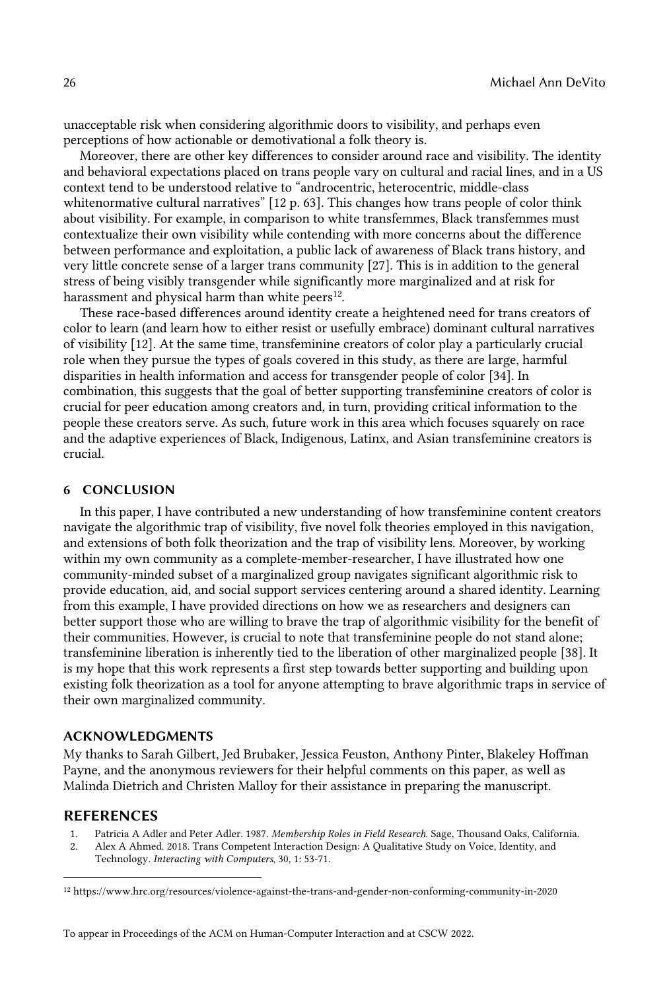unacceptable risk when considering algorithmic doors to visibility, and perhaps even perceptions of how actionable or demotivational a folk theory is.

 Moreover, there are other key differences to consider around race and visibility. The identity and behavioral expectations placed on trans people vary on cultural and racial lines, and in a US context tend to be understood relative to "androcentric, heterocentric, middle-class whitenormative cultural narratives" [12 p. 63]. This changes how trans people of color think about visibility. For example, in comparison to white transfemmes, Black transfemmes must contextualize their own visibility while contending with more concerns about the difference very little concrete sense of a larger trans community [27]. This is in addition to the general stress of being visibly transgender while significantly more marginalized and at risk for harassment and physical harm than white peers<sup>12</sup>. between performance and exploitation, a public lack of awareness of Black trans history, and

 These race-based differences around identity create a heightened need for trans creators of color to learn (and learn how to either resist or usefully embrace) dominant cultural narratives of visibility [12]. At the same time, transfeminine creators of color play a particularly crucial role when they pursue the types of goals covered in this study, as there are large, harmful disparities in health information and access for transgender people of color [34]. In combination, this suggests that the goal of better supporting transfeminine creators of color is crucial for peer education among creators and, in turn, providing critical information to the people these creators serve. As such, future work in this area which focuses squarely on race and the adaptive experiences of Black, Indigenous, Latinx, and Asian transfeminine creators is crucial.

#### 6 CONCLUSION

 In this paper, I have contributed a new understanding of how transfeminine content creators navigate the algorithmic trap of visibility, five novel folk theories employed in this navigation, and extensions of both folk theorization and the trap of visibility lens. Moreover, by working within my own community as a complete-member-researcher, I have illustrated how one community-minded subset of a marginalized group navigates significant algorithmic risk to provide education, aid, and social support services centering around a shared identity. Learning from this example, I have provided directions on how we as researchers and designers can better support those who are willing to brave the trap of algorithmic visibility for the benefit of transfeminine liberation is inherently tied to the liberation of other marginalized people [38]. It existing folk theorization as a tool for anyone attempting to brave algorithmic traps in service of their own marginalized community. their communities. However, is crucial to note that transfeminine people do not stand alone; is my hope that this work represents a first step towards better supporting and building upon

## ACKNOWLEDGMENTS

 My thanks to Sarah Gilbert, Jed Brubaker, Jessica Feuston, Anthony Pinter, Blakeley Hoffman Payne, and the anonymous reviewers for their helpful comments on this paper, as well as Malinda Dietrich and Christen Malloy for their assistance in preparing the manuscript.

# **REFERENCES**

- 1. Patricia A Adler and Peter Adler. 1987. *Membership Roles in Field Research*. Sage, Thousand Oaks, California.
- 2. Alex A Ahmed. 2018. Trans Competent Interaction Design: A Qualitative Study on Voice, Identity, and Technology. *Interacting with Computers*, 30, 1: 53-71.

<sup>12</sup> <https://www.hrc.org/resources/violence-against-the-trans-and-gender-non-conforming-community-in-2020>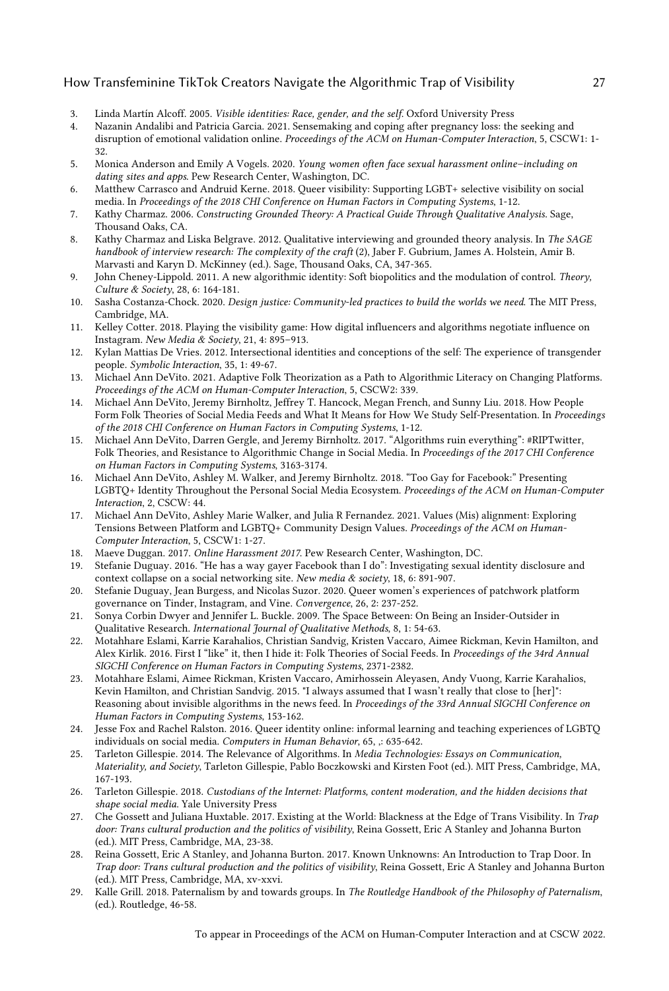# How Transfeminine TikTok Creators Navigate the Algorithmic Trap of Visibility 27

- 3. Linda Martín Alcoff. 2005. *Visible identities: Race, gender, and the self*. Oxford University Press
- 4. Nazanin Andalibi and Patricia Garcia. 2021. Sensemaking and coping after pregnancy loss: the seeking and disruption of emotional validation online. *Proceedings of the ACM on Human-Computer Interaction*, 5, CSCW1: 1- 32.
- 5. Monica Anderson and Emily A Vogels. 2020. *Young women often face sexual harassment online–including on dating sites and apps*. Pew Research Center, Washington, DC.
- 6. Matthew Carrasco and Andruid Kerne. 2018. Queer visibility: Supporting LGBT+ selective visibility on social media. In *Proceedings of the 2018 CHI Conference on Human Factors in Computing Systems*, 1-12.
- 7. Kathy Charmaz. 2006. *Constructing Grounded Theory: A Practical Guide Through Qualitative Analysis*. Sage, Thousand Oaks, CA.
- 8. Kathy Charmaz and Liska Belgrave. 2012. Qualitative interviewing and grounded theory analysis. In *The SAGE handbook of interview research: The complexity of the craft* (2), Jaber F. Gubrium, James A. Holstein, Amir B. Marvasti and Karyn D. McKinney (ed.). Sage, Thousand Oaks, CA, 347-365.
- 9. John Cheney-Lippold. 2011. A new algorithmic identity: Soft biopolitics and the modulation of control. *Theory, Culture & Society*, 28, 6: 164-181.
- 10. Sasha Costanza-Chock. 2020. *Design justice: Community-led practices to build the worlds we need*. The MIT Press, Cambridge, MA.
- 11. Kelley Cotter. 2018. Playing the visibility game: How digital influencers and algorithms negotiate influence on  Instagram. *New Media & Society*, 21, 4: 895–913.
- 12. Kylan Mattias De Vries. 2012. Intersectional identities and conceptions of the self: The experience of transgender people. *Symbolic Interaction*, 35, 1: 49-67.
- 13. Michael Ann DeVito. 2021. Adaptive Folk Theorization as a Path to Algorithmic Literacy on Changing Platforms.  *Proceedings of the ACM on Human-Computer Interaction*, 5, CSCW2: 339.
- 14. Michael Ann DeVito, Jeremy Birnholtz, Jeffrey T. Hancock, Megan French, and Sunny Liu. 2018. How People Form Folk Theories of Social Media Feeds and What It Means for How We Study Self-Presentation. In *Proceedings of the 2018 CHI Conference on Human Factors in Computing Systems*, 1-12.
- 15. Michael Ann DeVito, Darren Gergle, and Jeremy Birnholtz. 2017. "Algorithms ruin everything": #RIPTwitter, Folk Theories, and Resistance to Algorithmic Change in Social Media. In *Proceedings of the 2017 CHI Conference on Human Factors in Computing Systems*, 3163-3174.
- 16. Michael Ann DeVito, Ashley M. Walker, and Jeremy Birnholtz. 2018. "Too Gay for Facebook:" Presenting LGBTQ+ Identity Throughout the Personal Social Media Ecosystem. *Proceedings of the ACM on Human-Computer Interaction*, 2, CSCW: 44.
- 17. Michael Ann DeVito, Ashley Marie Walker, and Julia R Fernandez. 2021. Values (Mis) alignment: Exploring Tensions Between Platform and LGBTQ+ Community Design Values. *Proceedings of the ACM on Human-Computer Interaction*, 5, CSCW1: 1-27.
- 18. Maeve Duggan. 2017. *Online Harassment 2017*. Pew Research Center, Washington, DC.
- 19. Stefanie Duguay. 2016. "He has a way gayer Facebook than I do": Investigating sexual identity disclosure and context collapse on a social networking site. *New media & society*, 18, 6: 891-907.
- 20. Stefanie Duguay, Jean Burgess, and Nicolas Suzor. 2020. Queer women's experiences of patchwork platform governance on Tinder, Instagram, and Vine. *Convergence*, 26, 2: 237-252.
- 21. Sonya Corbin Dwyer and Jennifer L. Buckle. 2009. The Space Between: On Being an Insider-Outsider in Qualitative Research. *International Journal of Qualitative Methods*, 8, 1: 54-63.
- 22. Motahhare Eslami, Karrie Karahalios, Christian Sandvig, Kristen Vaccaro, Aimee Rickman, Kevin Hamilton, and Alex Kirlik. 2016. First I "like" it, then I hide it: Folk Theories of Social Feeds. In *Proceedings of the 34rd Annual SIGCHI Conference on Human Factors in Computing Systems*, 2371-2382.
- 23. Motahhare Eslami, Aimee Rickman, Kristen Vaccaro, Amirhossein Aleyasen, Andy Vuong, Karrie Karahalios, Kevin Hamilton, and Christian Sandvig. 2015. "I always assumed that I wasn't really that close to [her]": Reasoning about invisible algorithms in the news feed. In *Proceedings of the 33rd Annual SIGCHI Conference on Human Factors in Computing Systems*, 153-162.
- 24. Jesse Fox and Rachel Ralston. 2016. Queer identity online: informal learning and teaching experiences of LGBTQ  individuals on social media. *Computers in Human Behavior*, 65, ,: 635-642.
- 25. Tarleton Gillespie. 2014. The Relevance of Algorithms. In *Media Technologies: Essays on Communication, Materiality, and Society*, Tarleton Gillespie, Pablo Boczkowski and Kirsten Foot (ed.). MIT Press, Cambridge, MA, 167-193.
- 26. Tarleton Gillespie. 2018. *Custodians of the Internet: Platforms, content moderation, and the hidden decisions that shape social media*. Yale University Press
- 27. Che Gossett and Juliana Huxtable. 2017. Existing at the World: Blackness at the Edge of Trans Visibility. In *Trap door: Trans cultural production and the politics of visibility*, Reina Gossett, Eric A Stanley and Johanna Burton (ed.). MIT Press, Cambridge, MA, 23-38.
- 28. Reina Gossett, Eric A Stanley, and Johanna Burton. 2017. Known Unknowns: An Introduction to Trap Door. In  *Trap door: Trans cultural production and the politics of visibility*, Reina Gossett, Eric A Stanley and Johanna Burton (ed.). MIT Press, Cambridge, MA, xv-xxvi.
- 29. Kalle Grill. 2018. Paternalism by and towards groups. In *The Routledge Handbook of the Philosophy of Paternalism*, (ed.). Routledge, 46-58.